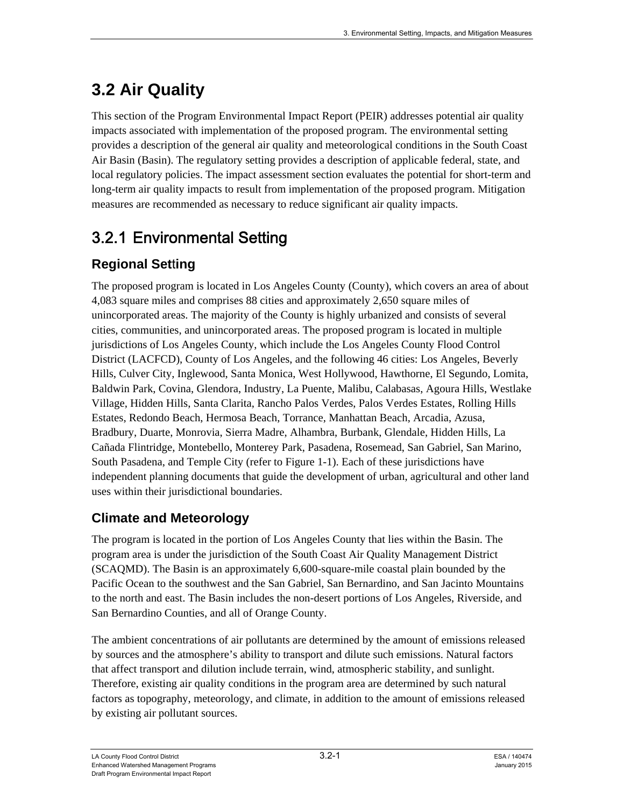# **3.2 Air Quality**

This section of the Program Environmental Impact Report (PEIR) addresses potential air quality impacts associated with implementation of the proposed program. The environmental setting provides a description of the general air quality and meteorological conditions in the South Coast Air Basin (Basin). The regulatory setting provides a description of applicable federal, state, and local regulatory policies. The impact assessment section evaluates the potential for short-term and long-term air quality impacts to result from implementation of the proposed program. Mitigation measures are recommended as necessary to reduce significant air quality impacts.

# 3.2.1 Environmental Setting

## **Regional Set**t**ing**

The proposed program is located in Los Angeles County (County), which covers an area of about 4,083 square miles and comprises 88 cities and approximately 2,650 square miles of unincorporated areas. The majority of the County is highly urbanized and consists of several cities, communities, and unincorporated areas. The proposed program is located in multiple jurisdictions of Los Angeles County, which include the Los Angeles County Flood Control District (LACFCD), County of Los Angeles, and the following 46 cities: Los Angeles, Beverly Hills, Culver City, Inglewood, Santa Monica, West Hollywood, Hawthorne, El Segundo, Lomita, Baldwin Park, Covina, Glendora, Industry, La Puente, Malibu, Calabasas, Agoura Hills, Westlake Village, Hidden Hills, Santa Clarita, Rancho Palos Verdes, Palos Verdes Estates, Rolling Hills Estates, Redondo Beach, Hermosa Beach, Torrance, Manhattan Beach, Arcadia, Azusa, Bradbury, Duarte, Monrovia, Sierra Madre, Alhambra, Burbank, Glendale, Hidden Hills, La Cañada Flintridge, Montebello, Monterey Park, Pasadena, Rosemead, San Gabriel, San Marino, South Pasadena, and Temple City (refer to Figure 1-1). Each of these jurisdictions have independent planning documents that guide the development of urban, agricultural and other land uses within their jurisdictional boundaries.

## **Climate and Meteorology**

The program is located in the portion of Los Angeles County that lies within the Basin. The program area is under the jurisdiction of the South Coast Air Quality Management District (SCAQMD). The Basin is an approximately 6,600-square-mile coastal plain bounded by the Pacific Ocean to the southwest and the San Gabriel, San Bernardino, and San Jacinto Mountains to the north and east. The Basin includes the non-desert portions of Los Angeles, Riverside, and San Bernardino Counties, and all of Orange County.

The ambient concentrations of air pollutants are determined by the amount of emissions released by sources and the atmosphere's ability to transport and dilute such emissions. Natural factors that affect transport and dilution include terrain, wind, atmospheric stability, and sunlight. Therefore, existing air quality conditions in the program area are determined by such natural factors as topography, meteorology, and climate, in addition to the amount of emissions released by existing air pollutant sources.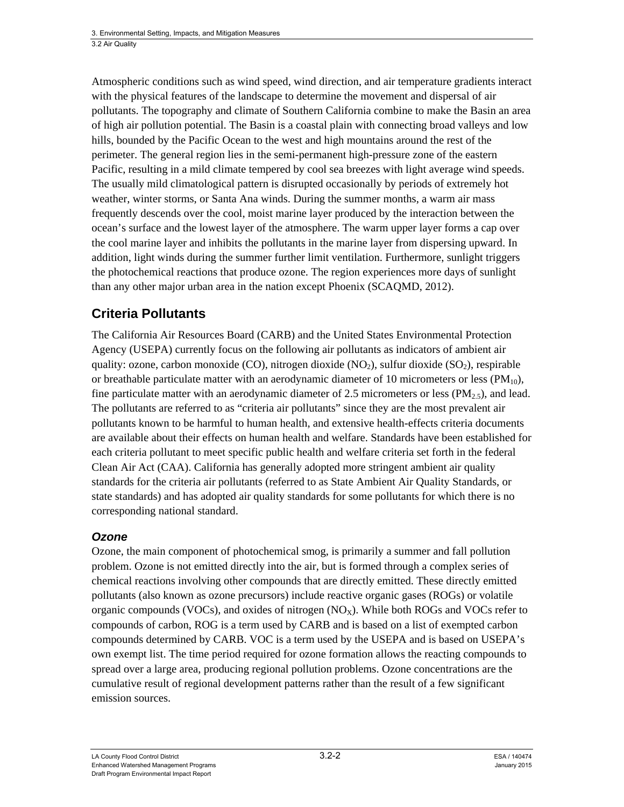Atmospheric conditions such as wind speed, wind direction, and air temperature gradients interact with the physical features of the landscape to determine the movement and dispersal of air pollutants. The topography and climate of Southern California combine to make the Basin an area of high air pollution potential. The Basin is a coastal plain with connecting broad valleys and low hills, bounded by the Pacific Ocean to the west and high mountains around the rest of the perimeter. The general region lies in the semi-permanent high-pressure zone of the eastern Pacific, resulting in a mild climate tempered by cool sea breezes with light average wind speeds. The usually mild climatological pattern is disrupted occasionally by periods of extremely hot weather, winter storms, or Santa Ana winds. During the summer months, a warm air mass frequently descends over the cool, moist marine layer produced by the interaction between the ocean's surface and the lowest layer of the atmosphere. The warm upper layer forms a cap over the cool marine layer and inhibits the pollutants in the marine layer from dispersing upward. In addition, light winds during the summer further limit ventilation. Furthermore, sunlight triggers the photochemical reactions that produce ozone. The region experiences more days of sunlight than any other major urban area in the nation except Phoenix (SCAQMD, 2012).

## **Criteria Pollutants**

The California Air Resources Board (CARB) and the United States Environmental Protection Agency (USEPA) currently focus on the following air pollutants as indicators of ambient air quality: ozone, carbon monoxide (CO), nitrogen dioxide (NO<sub>2</sub>), sulfur dioxide (SO<sub>2</sub>), respirable or breathable particulate matter with an aerodynamic diameter of 10 micrometers or less  $(PM_{10})$ , fine particulate matter with an aerodynamic diameter of 2.5 micrometers or less (PM<sub>2.5</sub>), and lead. The pollutants are referred to as "criteria air pollutants" since they are the most prevalent air pollutants known to be harmful to human health, and extensive health-effects criteria documents are available about their effects on human health and welfare. Standards have been established for each criteria pollutant to meet specific public health and welfare criteria set forth in the federal Clean Air Act (CAA). California has generally adopted more stringent ambient air quality standards for the criteria air pollutants (referred to as State Ambient Air Quality Standards, or state standards) and has adopted air quality standards for some pollutants for which there is no corresponding national standard.

### *Ozone*

Ozone, the main component of photochemical smog, is primarily a summer and fall pollution problem. Ozone is not emitted directly into the air, but is formed through a complex series of chemical reactions involving other compounds that are directly emitted. These directly emitted pollutants (also known as ozone precursors) include reactive organic gases (ROGs) or volatile organic compounds (VOCs), and oxides of nitrogen  $(NO<sub>X</sub>)$ . While both ROGs and VOCs refer to compounds of carbon, ROG is a term used by CARB and is based on a list of exempted carbon compounds determined by CARB. VOC is a term used by the USEPA and is based on USEPA's own exempt list. The time period required for ozone formation allows the reacting compounds to spread over a large area, producing regional pollution problems. Ozone concentrations are the cumulative result of regional development patterns rather than the result of a few significant emission sources.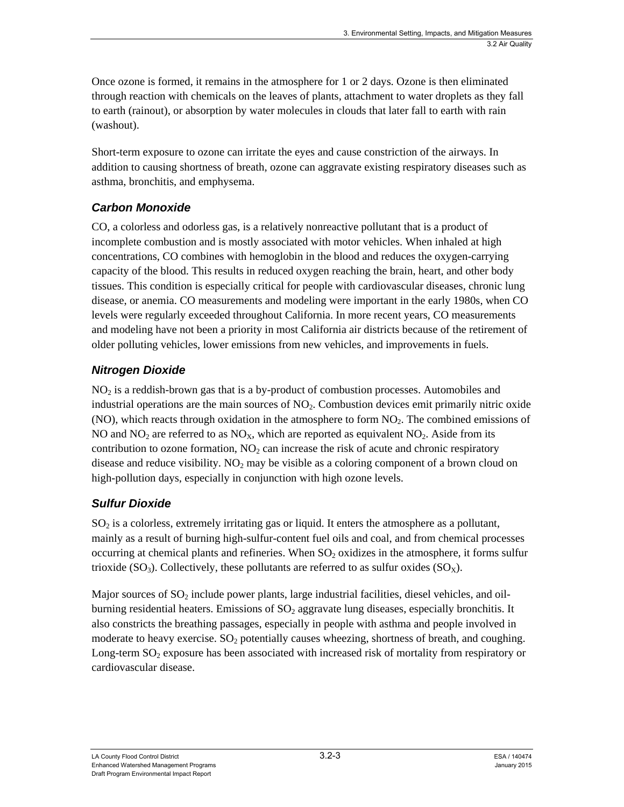Once ozone is formed, it remains in the atmosphere for 1 or 2 days. Ozone is then eliminated through reaction with chemicals on the leaves of plants, attachment to water droplets as they fall to earth (rainout), or absorption by water molecules in clouds that later fall to earth with rain (washout).

Short-term exposure to ozone can irritate the eyes and cause constriction of the airways. In addition to causing shortness of breath, ozone can aggravate existing respiratory diseases such as asthma, bronchitis, and emphysema.

### *Carbon Monoxide*

CO, a colorless and odorless gas, is a relatively nonreactive pollutant that is a product of incomplete combustion and is mostly associated with motor vehicles. When inhaled at high concentrations, CO combines with hemoglobin in the blood and reduces the oxygen-carrying capacity of the blood. This results in reduced oxygen reaching the brain, heart, and other body tissues. This condition is especially critical for people with cardiovascular diseases, chronic lung disease, or anemia. CO measurements and modeling were important in the early 1980s, when CO levels were regularly exceeded throughout California. In more recent years, CO measurements and modeling have not been a priority in most California air districts because of the retirement of older polluting vehicles, lower emissions from new vehicles, and improvements in fuels.

### *Nitrogen Dioxide*

 $NO<sub>2</sub>$  is a reddish-brown gas that is a by-product of combustion processes. Automobiles and industrial operations are the main sources of  $NO<sub>2</sub>$ . Combustion devices emit primarily nitric oxide  $(NO)$ , which reacts through oxidation in the atmosphere to form  $NO<sub>2</sub>$ . The combined emissions of NO and  $NO<sub>2</sub>$  are referred to as  $NO<sub>X</sub>$ , which are reported as equivalent NO<sub>2</sub>. Aside from its contribution to ozone formation,  $NO<sub>2</sub>$  can increase the risk of acute and chronic respiratory disease and reduce visibility.  $NO<sub>2</sub>$  may be visible as a coloring component of a brown cloud on high-pollution days, especially in conjunction with high ozone levels.

### *Sulfur Dioxide*

 $SO<sub>2</sub>$  is a colorless, extremely irritating gas or liquid. It enters the atmosphere as a pollutant, mainly as a result of burning high-sulfur-content fuel oils and coal, and from chemical processes occurring at chemical plants and refineries. When  $SO<sub>2</sub>$  oxidizes in the atmosphere, it forms sulfur trioxide ( $SO_3$ ). Collectively, these pollutants are referred to as sulfur oxides ( $SO_8$ ).

Major sources of  $SO_2$  include power plants, large industrial facilities, diesel vehicles, and oilburning residential heaters. Emissions of  $SO<sub>2</sub>$  aggravate lung diseases, especially bronchitis. It also constricts the breathing passages, especially in people with asthma and people involved in moderate to heavy exercise.  $SO_2$  potentially causes wheezing, shortness of breath, and coughing. Long-term  $SO_2$  exposure has been associated with increased risk of mortality from respiratory or cardiovascular disease.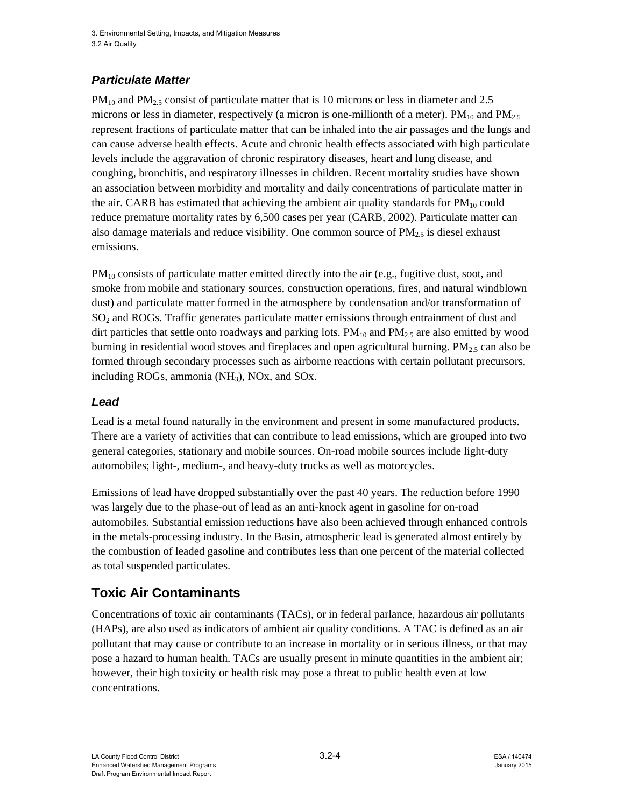#### *Particulate Matter*

 $PM_{10}$  and  $PM_{2.5}$  consist of particulate matter that is 10 microns or less in diameter and 2.5 microns or less in diameter, respectively (a micron is one-millionth of a meter).  $PM_{10}$  and  $PM_{25}$ represent fractions of particulate matter that can be inhaled into the air passages and the lungs and can cause adverse health effects. Acute and chronic health effects associated with high particulate levels include the aggravation of chronic respiratory diseases, heart and lung disease, and coughing, bronchitis, and respiratory illnesses in children. Recent mortality studies have shown an association between morbidity and mortality and daily concentrations of particulate matter in the air. CARB has estimated that achieving the ambient air quality standards for  $PM_{10}$  could reduce premature mortality rates by 6,500 cases per year (CARB, 2002). Particulate matter can also damage materials and reduce visibility. One common source of  $PM_{2.5}$  is diesel exhaust emissions.

 $PM_{10}$  consists of particulate matter emitted directly into the air (e.g., fugitive dust, soot, and smoke from mobile and stationary sources, construction operations, fires, and natural windblown dust) and particulate matter formed in the atmosphere by condensation and/or transformation of  $SO<sub>2</sub>$  and ROGs. Traffic generates particulate matter emissions through entrainment of dust and dirt particles that settle onto roadways and parking lots.  $PM_{10}$  and  $PM_{2.5}$  are also emitted by wood burning in residential wood stoves and fireplaces and open agricultural burning.  $PM<sub>25</sub>$  can also be formed through secondary processes such as airborne reactions with certain pollutant precursors, including ROGs, ammonia  $(NH_3)$ , NOx, and SOx.

#### *Lead*

Lead is a metal found naturally in the environment and present in some manufactured products. There are a variety of activities that can contribute to lead emissions, which are grouped into two general categories, stationary and mobile sources. On-road mobile sources include light-duty automobiles; light-, medium-, and heavy-duty trucks as well as motorcycles.

Emissions of lead have dropped substantially over the past 40 years. The reduction before 1990 was largely due to the phase-out of lead as an anti-knock agent in gasoline for on-road automobiles. Substantial emission reductions have also been achieved through enhanced controls in the metals-processing industry. In the Basin, atmospheric lead is generated almost entirely by the combustion of leaded gasoline and contributes less than one percent of the material collected as total suspended particulates.

### **Toxic Air Contaminants**

Concentrations of toxic air contaminants (TACs), or in federal parlance, hazardous air pollutants (HAPs), are also used as indicators of ambient air quality conditions. A TAC is defined as an air pollutant that may cause or contribute to an increase in mortality or in serious illness, or that may pose a hazard to human health. TACs are usually present in minute quantities in the ambient air; however, their high toxicity or health risk may pose a threat to public health even at low concentrations.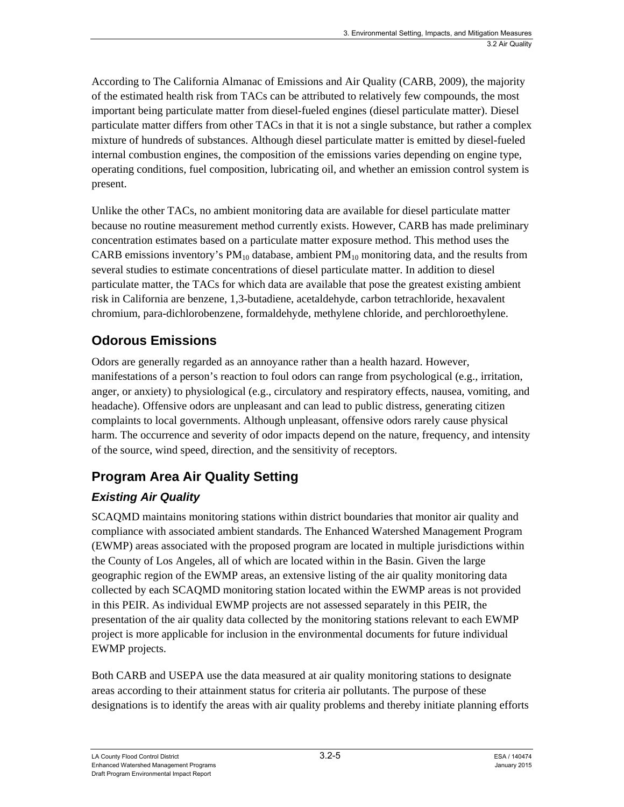According to The California Almanac of Emissions and Air Quality (CARB, 2009), the majority of the estimated health risk from TACs can be attributed to relatively few compounds, the most important being particulate matter from diesel-fueled engines (diesel particulate matter). Diesel particulate matter differs from other TACs in that it is not a single substance, but rather a complex mixture of hundreds of substances. Although diesel particulate matter is emitted by diesel-fueled internal combustion engines, the composition of the emissions varies depending on engine type, operating conditions, fuel composition, lubricating oil, and whether an emission control system is present.

Unlike the other TACs, no ambient monitoring data are available for diesel particulate matter because no routine measurement method currently exists. However, CARB has made preliminary concentration estimates based on a particulate matter exposure method. This method uses the CARB emissions inventory's  $PM_{10}$  database, ambient  $PM_{10}$  monitoring data, and the results from several studies to estimate concentrations of diesel particulate matter. In addition to diesel particulate matter, the TACs for which data are available that pose the greatest existing ambient risk in California are benzene, 1,3-butadiene, acetaldehyde, carbon tetrachloride, hexavalent chromium, para-dichlorobenzene, formaldehyde, methylene chloride, and perchloroethylene.

## **Odorous Emissions**

Odors are generally regarded as an annoyance rather than a health hazard. However, manifestations of a person's reaction to foul odors can range from psychological (e.g., irritation, anger, or anxiety) to physiological (e.g., circulatory and respiratory effects, nausea, vomiting, and headache). Offensive odors are unpleasant and can lead to public distress, generating citizen complaints to local governments. Although unpleasant, offensive odors rarely cause physical harm. The occurrence and severity of odor impacts depend on the nature, frequency, and intensity of the source, wind speed, direction, and the sensitivity of receptors.

## **Program Area Air Quality Setting**

## *Existing Air Quality*

SCAQMD maintains monitoring stations within district boundaries that monitor air quality and compliance with associated ambient standards. The Enhanced Watershed Management Program (EWMP) areas associated with the proposed program are located in multiple jurisdictions within the County of Los Angeles, all of which are located within in the Basin. Given the large geographic region of the EWMP areas, an extensive listing of the air quality monitoring data collected by each SCAQMD monitoring station located within the EWMP areas is not provided in this PEIR. As individual EWMP projects are not assessed separately in this PEIR, the presentation of the air quality data collected by the monitoring stations relevant to each EWMP project is more applicable for inclusion in the environmental documents for future individual EWMP projects.

Both CARB and USEPA use the data measured at air quality monitoring stations to designate areas according to their attainment status for criteria air pollutants. The purpose of these designations is to identify the areas with air quality problems and thereby initiate planning efforts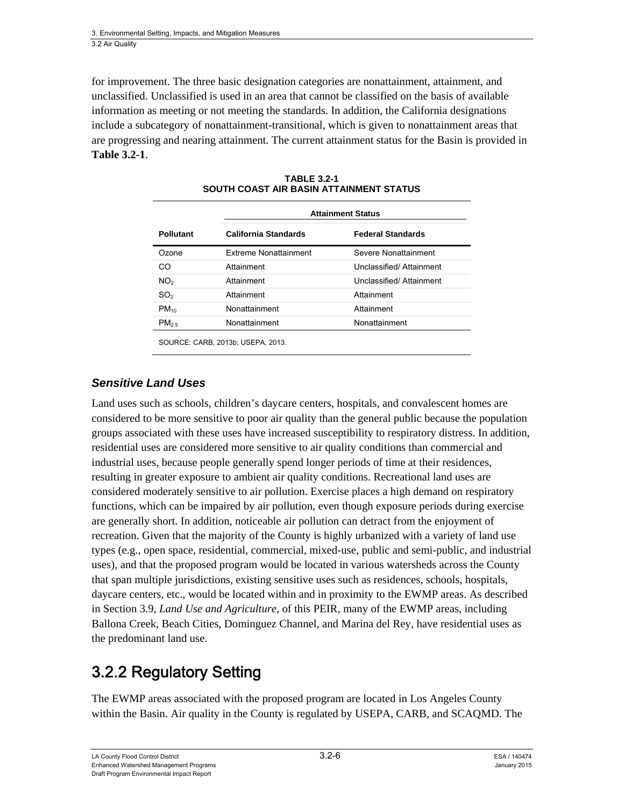for improvement. The three basic designation categories are nonattainment, attainment, and unclassified. Unclassified is used in an area that cannot be classified on the basis of available information as meeting or not meeting the standards. In addition, the California designations include a subcategory of nonattainment-transitional, which is given to nonattainment areas that are progressing and nearing attainment. The current attainment status for the Basin is provided in **Table 3.2-1**.

|                   | <b>Attainment Status</b>     |                          |  |  |  |  |
|-------------------|------------------------------|--------------------------|--|--|--|--|
| <b>Pollutant</b>  | California Standards         | <b>Federal Standards</b> |  |  |  |  |
| Ozone             | <b>Extreme Nonattainment</b> | Severe Nonattainment     |  |  |  |  |
| CO                | Attainment                   | Unclassified/Attainment  |  |  |  |  |
| NO <sub>2</sub>   | Attainment                   | Unclassified/ Attainment |  |  |  |  |
| SO <sub>2</sub>   | Attainment                   | Attainment               |  |  |  |  |
| $PM_{10}$         | Nonattainment                | Attainment               |  |  |  |  |
| PM <sub>2.5</sub> | Nonattainment                | Nonattainment            |  |  |  |  |

**TABLE 3.2-1 SOUTH COAST AIR BASIN ATTAINMENT STATUS** 

#### *Sensitive Land Uses*

Land uses such as schools, children's daycare centers, hospitals, and convalescent homes are considered to be more sensitive to poor air quality than the general public because the population groups associated with these uses have increased susceptibility to respiratory distress. In addition, residential uses are considered more sensitive to air quality conditions than commercial and industrial uses, because people generally spend longer periods of time at their residences, resulting in greater exposure to ambient air quality conditions. Recreational land uses are considered moderately sensitive to air pollution. Exercise places a high demand on respiratory functions, which can be impaired by air pollution, even though exposure periods during exercise are generally short. In addition, noticeable air pollution can detract from the enjoyment of recreation. Given that the majority of the County is highly urbanized with a variety of land use types (e.g., open space, residential, commercial, mixed-use, public and semi-public, and industrial uses), and that the proposed program would be located in various watersheds across the County that span multiple jurisdictions, existing sensitive uses such as residences, schools, hospitals, daycare centers, etc., would be located within and in proximity to the EWMP areas. As described in Section 3.9, *Land Use and Agriculture,* of this PEIR, many of the EWMP areas, including Ballona Creek, Beach Cities, Dominguez Channel, and Marina del Rey, have residential uses as the predominant land use.

# 3.2.2 Regulatory Setting

The EWMP areas associated with the proposed program are located in Los Angeles County within the Basin. Air quality in the County is regulated by USEPA, CARB, and SCAQMD. The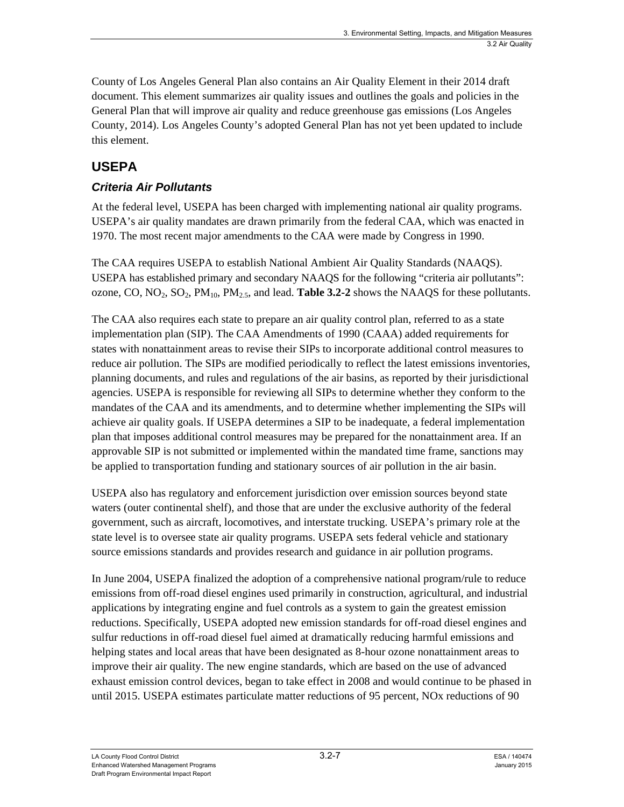County of Los Angeles General Plan also contains an Air Quality Element in their 2014 draft document. This element summarizes air quality issues and outlines the goals and policies in the General Plan that will improve air quality and reduce greenhouse gas emissions (Los Angeles County, 2014). Los Angeles County's adopted General Plan has not yet been updated to include this element.

## **USEPA**

### *Criteria Air Pollutants*

At the federal level, USEPA has been charged with implementing national air quality programs. USEPA's air quality mandates are drawn primarily from the federal CAA, which was enacted in 1970. The most recent major amendments to the CAA were made by Congress in 1990.

The CAA requires USEPA to establish National Ambient Air Quality Standards (NAAQS). USEPA has established primary and secondary NAAQS for the following "criteria air pollutants": ozone, CO, NO2, SO2, PM10, PM2.5, and lead. **Table 3.2-2** shows the NAAQS for these pollutants.

The CAA also requires each state to prepare an air quality control plan, referred to as a state implementation plan (SIP). The CAA Amendments of 1990 (CAAA) added requirements for states with nonattainment areas to revise their SIPs to incorporate additional control measures to reduce air pollution. The SIPs are modified periodically to reflect the latest emissions inventories, planning documents, and rules and regulations of the air basins, as reported by their jurisdictional agencies. USEPA is responsible for reviewing all SIPs to determine whether they conform to the mandates of the CAA and its amendments, and to determine whether implementing the SIPs will achieve air quality goals. If USEPA determines a SIP to be inadequate, a federal implementation plan that imposes additional control measures may be prepared for the nonattainment area. If an approvable SIP is not submitted or implemented within the mandated time frame, sanctions may be applied to transportation funding and stationary sources of air pollution in the air basin.

USEPA also has regulatory and enforcement jurisdiction over emission sources beyond state waters (outer continental shelf), and those that are under the exclusive authority of the federal government, such as aircraft, locomotives, and interstate trucking. USEPA's primary role at the state level is to oversee state air quality programs. USEPA sets federal vehicle and stationary source emissions standards and provides research and guidance in air pollution programs.

In June 2004, USEPA finalized the adoption of a comprehensive national program/rule to reduce emissions from off-road diesel engines used primarily in construction, agricultural, and industrial applications by integrating engine and fuel controls as a system to gain the greatest emission reductions. Specifically, USEPA adopted new emission standards for off-road diesel engines and sulfur reductions in off-road diesel fuel aimed at dramatically reducing harmful emissions and helping states and local areas that have been designated as 8-hour ozone nonattainment areas to improve their air quality. The new engine standards, which are based on the use of advanced exhaust emission control devices, began to take effect in 2008 and would continue to be phased in until 2015. USEPA estimates particulate matter reductions of 95 percent, NOx reductions of 90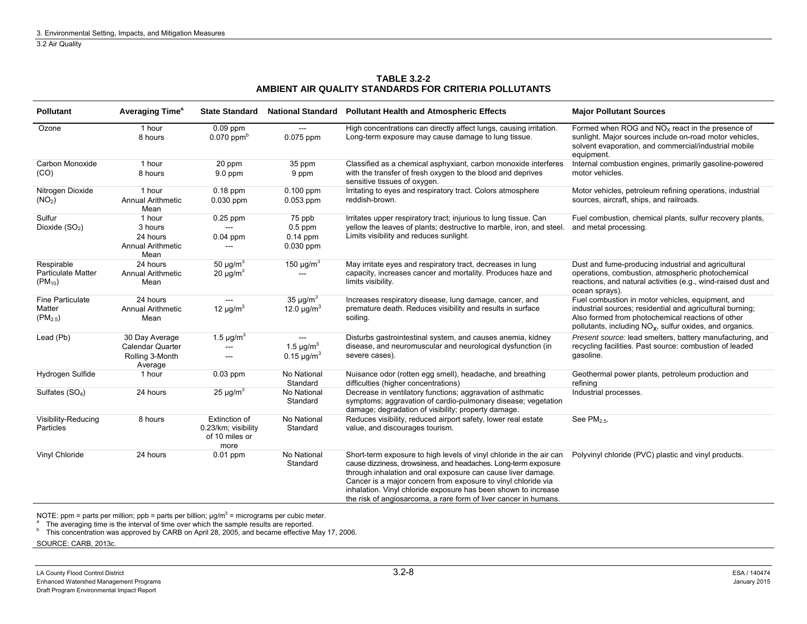#### **TABLE 3.2-2 AMBIENT AIR QUALITY STANDARDS FOR CRITERIA POLLUTANTS**

| <b>Pollutant</b>                                       | Averaging Time <sup>®</sup>                                       | <b>State Standard</b>                                          |                                                           | National Standard Pollutant Health and Atmospheric Effects                                                                                                                                                                                                                                                                                                                                                   | <b>Major Pollutant Sources</b>                                                                                                                                                                                                              |  |
|--------------------------------------------------------|-------------------------------------------------------------------|----------------------------------------------------------------|-----------------------------------------------------------|--------------------------------------------------------------------------------------------------------------------------------------------------------------------------------------------------------------------------------------------------------------------------------------------------------------------------------------------------------------------------------------------------------------|---------------------------------------------------------------------------------------------------------------------------------------------------------------------------------------------------------------------------------------------|--|
| Ozone                                                  | 1 hour<br>8 hours                                                 | $0.09$ ppm<br>$0.070$ ppm <sup>b</sup>                         | $0.075$ ppm                                               | High concentrations can directly affect lungs, causing irritation.<br>Long-term exposure may cause damage to lung tissue.                                                                                                                                                                                                                                                                                    | Formed when ROG and $NOx$ react in the presence of<br>sunlight. Major sources include on-road motor vehicles,<br>solvent evaporation, and commercial/industrial mobile<br>equipment.                                                        |  |
| Carbon Monoxide<br>(CO)                                | 1 hour<br>8 hours                                                 | 20 ppm<br>$9.0$ ppm                                            | 35 ppm<br>9 ppm                                           | Classified as a chemical asphyxiant, carbon monoxide interferes<br>with the transfer of fresh oxygen to the blood and deprives<br>sensitive tissues of oxygen.                                                                                                                                                                                                                                               | Internal combustion engines, primarily gasoline-powered<br>motor vehicles.                                                                                                                                                                  |  |
| Nitrogen Dioxide<br>(NO <sub>2</sub> )                 | 1 hour<br><b>Annual Arithmetic</b><br>Mean                        | $0.18$ ppm<br>$0.030$ ppm                                      | $0.100$ ppm<br>$0.053$ ppm                                | Irritating to eyes and respiratory tract. Colors atmosphere<br>reddish-brown.                                                                                                                                                                                                                                                                                                                                | Motor vehicles, petroleum refining operations, industrial<br>sources, aircraft, ships, and railroads.                                                                                                                                       |  |
| Sulfur<br>Dioxide $(SO2)$                              | 1 hour<br>3 hours<br>24 hours<br><b>Annual Arithmetic</b><br>Mean | $0.25$ ppm<br>$\sim$ $\sim$<br>$0.04$ ppm                      | 75 ppb<br>$0.5$ ppm<br>$0.14$ ppm<br>$0.030$ ppm          | Irritates upper respiratory tract; injurious to lung tissue. Can<br>yellow the leaves of plants; destructive to marble, iron, and steel.<br>Limits visibility and reduces sunlight.                                                                                                                                                                                                                          | Fuel combustion, chemical plants, sulfur recovery plants,<br>and metal processing.                                                                                                                                                          |  |
| Respirable<br><b>Particulate Matter</b><br>$(PM_{10})$ | 24 hours<br><b>Annual Arithmetic</b><br>Mean                      | 50 $\mu$ g/m <sup>3</sup><br>20 $\mu$ g/m <sup>3</sup>         | 150 $\mu$ g/m <sup>3</sup><br>---                         | May irritate eyes and respiratory tract, decreases in lung<br>capacity, increases cancer and mortality. Produces haze and<br>limits visibility.                                                                                                                                                                                                                                                              | Dust and fume-producing industrial and agricultural<br>operations, combustion, atmospheric photochemical<br>reactions, and natural activities (e.g., wind-raised dust and<br>ocean sprays).                                                 |  |
| <b>Fine Particulate</b><br>Matter<br>$(PM_{2.5})$      | 24 hours<br>Annual Arithmetic<br>Mean                             | $-$<br>12 $\mu$ g/m <sup>3</sup>                               | 35 $\mu$ g/m <sup>3</sup><br>12.0 $\mu$ g/m <sup>3</sup>  | Increases respiratory disease, lung damage, cancer, and<br>premature death. Reduces visibility and results in surface<br>soiling.                                                                                                                                                                                                                                                                            | Fuel combustion in motor vehicles, equipment, and<br>industrial sources; residential and agricultural burning;<br>Also formed from photochemical reactions of other<br>pollutants, including NO <sub>x</sub> , sulfur oxides, and organics. |  |
| Lead (Pb)                                              | 30 Day Average<br>Calendar Quarter<br>Rolling 3-Month<br>Average  | 1.5 $\mu$ g/m <sup>3</sup><br>$-$                              | 1.5 $\mu$ g/m <sup>3</sup><br>0.15 $\mu$ g/m <sup>3</sup> | Disturbs gastrointestinal system, and causes anemia, kidney<br>disease, and neuromuscular and neurological dysfunction (in<br>severe cases).                                                                                                                                                                                                                                                                 | Present source: lead smelters, battery manufacturing, and<br>recycling facilities. Past source: combustion of leaded<br>gasoline.                                                                                                           |  |
| Hydrogen Sulfide                                       | 1 hour                                                            | $0.03$ ppm                                                     | No National<br>Standard                                   | Nuisance odor (rotten egg smell), headache, and breathing<br>difficulties (higher concentrations)                                                                                                                                                                                                                                                                                                            | Geothermal power plants, petroleum production and<br>refining                                                                                                                                                                               |  |
| Sulfates (SO <sub>4</sub> )                            | 24 hours                                                          | $25 \mu g/m^3$                                                 | No National<br>Standard                                   | Decrease in ventilatory functions; aggravation of asthmatic<br>symptoms; aggravation of cardio-pulmonary disease; vegetation<br>damage; degradation of visibility; property damage.                                                                                                                                                                                                                          | Industrial processes.                                                                                                                                                                                                                       |  |
| Visibility-Reducing<br>Particles                       | 8 hours                                                           | Extinction of<br>0.23/km; visibility<br>of 10 miles or<br>more | No National<br>Standard                                   | Reduces visibility, reduced airport safety, lower real estate<br>value, and discourages tourism.                                                                                                                                                                                                                                                                                                             | See $PM_{2.5}$ .                                                                                                                                                                                                                            |  |
| Vinyl Chloride                                         | 24 hours                                                          | $0.01$ ppm                                                     | No National<br>Standard                                   | Short-term exposure to high levels of vinyl chloride in the air can<br>cause dizziness, drowsiness, and headaches. Long-term exposure<br>through inhalation and oral exposure can cause liver damage.<br>Cancer is a major concern from exposure to vinyl chloride via<br>inhalation. Vinyl chloride exposure has been shown to increase<br>the risk of angiosarcoma, a rare form of liver cancer in humans. | Polyvinyl chloride (PVC) plastic and vinyl products.                                                                                                                                                                                        |  |

NOTE: ppm = parts per million; ppb = parts per billion;  $\mu$ g/m<sup>3</sup> = micrograms per cubic meter.

 $^{\text{a}}$  The averaging time is the interval of time over which the sample results are reported.<br><sup>b</sup> This concentration was approved by CARB on April 28, 2005, and became effective May 17, 2006.

SOURCE: CARB, 2013c.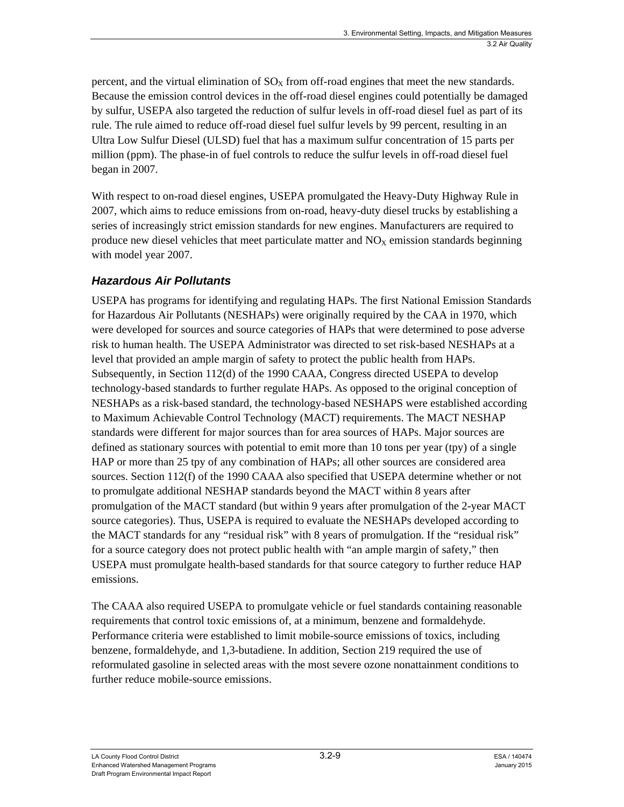percent, and the virtual elimination of  $SO<sub>x</sub>$  from off-road engines that meet the new standards. Because the emission control devices in the off-road diesel engines could potentially be damaged by sulfur, USEPA also targeted the reduction of sulfur levels in off-road diesel fuel as part of its rule. The rule aimed to reduce off-road diesel fuel sulfur levels by 99 percent, resulting in an Ultra Low Sulfur Diesel (ULSD) fuel that has a maximum sulfur concentration of 15 parts per million (ppm). The phase-in of fuel controls to reduce the sulfur levels in off-road diesel fuel began in 2007.

With respect to on-road diesel engines, USEPA promulgated the Heavy-Duty Highway Rule in 2007, which aims to reduce emissions from on-road, heavy-duty diesel trucks by establishing a series of increasingly strict emission standards for new engines. Manufacturers are required to produce new diesel vehicles that meet particulate matter and  $NO<sub>X</sub>$  emission standards beginning with model year 2007.

### *Hazardous Air Pollutants*

USEPA has programs for identifying and regulating HAPs. The first National Emission Standards for Hazardous Air Pollutants (NESHAPs) were originally required by the CAA in 1970, which were developed for sources and source categories of HAPs that were determined to pose adverse risk to human health. The USEPA Administrator was directed to set risk-based NESHAPs at a level that provided an ample margin of safety to protect the public health from HAPs. Subsequently, in Section 112(d) of the 1990 CAAA, Congress directed USEPA to develop technology-based standards to further regulate HAPs. As opposed to the original conception of NESHAPs as a risk-based standard, the technology-based NESHAPS were established according to Maximum Achievable Control Technology (MACT) requirements. The MACT NESHAP standards were different for major sources than for area sources of HAPs. Major sources are defined as stationary sources with potential to emit more than 10 tons per year (tpy) of a single HAP or more than 25 tpy of any combination of HAPs; all other sources are considered area sources. Section 112(f) of the 1990 CAAA also specified that USEPA determine whether or not to promulgate additional NESHAP standards beyond the MACT within 8 years after promulgation of the MACT standard (but within 9 years after promulgation of the 2-year MACT source categories). Thus, USEPA is required to evaluate the NESHAPs developed according to the MACT standards for any "residual risk" with 8 years of promulgation. If the "residual risk" for a source category does not protect public health with "an ample margin of safety," then USEPA must promulgate health-based standards for that source category to further reduce HAP emissions.

The CAAA also required USEPA to promulgate vehicle or fuel standards containing reasonable requirements that control toxic emissions of, at a minimum, benzene and formaldehyde. Performance criteria were established to limit mobile-source emissions of toxics, including benzene, formaldehyde, and 1,3-butadiene. In addition, Section 219 required the use of reformulated gasoline in selected areas with the most severe ozone nonattainment conditions to further reduce mobile-source emissions.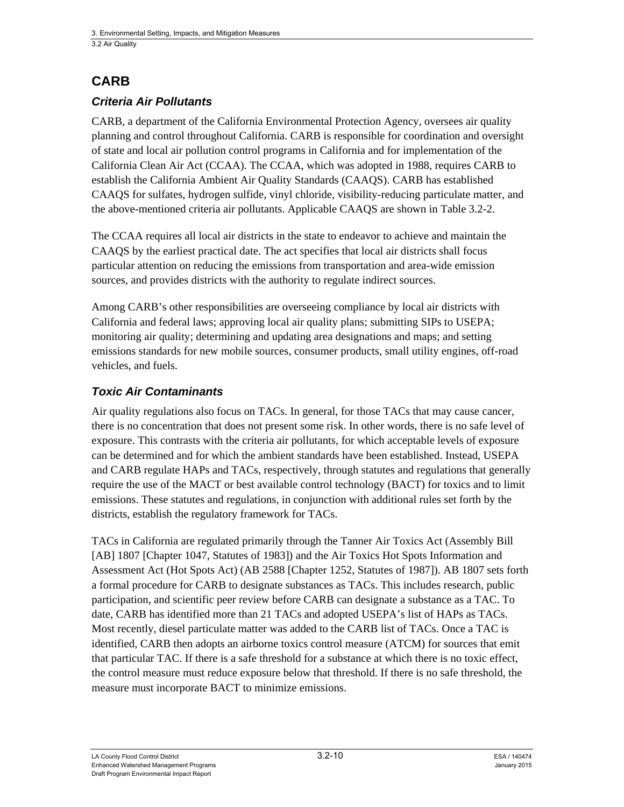### **CARB**

### *Criteria Air Pollutants*

CARB, a department of the California Environmental Protection Agency, oversees air quality planning and control throughout California. CARB is responsible for coordination and oversight of state and local air pollution control programs in California and for implementation of the California Clean Air Act (CCAA). The CCAA, which was adopted in 1988, requires CARB to establish the California Ambient Air Quality Standards (CAAQS). CARB has established CAAQS for sulfates, hydrogen sulfide, vinyl chloride, visibility-reducing particulate matter, and the above-mentioned criteria air pollutants. Applicable CAAQS are shown in Table 3.2-2.

The CCAA requires all local air districts in the state to endeavor to achieve and maintain the CAAQS by the earliest practical date. The act specifies that local air districts shall focus particular attention on reducing the emissions from transportation and area-wide emission sources, and provides districts with the authority to regulate indirect sources.

Among CARB's other responsibilities are overseeing compliance by local air districts with California and federal laws; approving local air quality plans; submitting SIPs to USEPA; monitoring air quality; determining and updating area designations and maps; and setting emissions standards for new mobile sources, consumer products, small utility engines, off-road vehicles, and fuels.

### *Toxic Air Contaminants*

Air quality regulations also focus on TACs. In general, for those TACs that may cause cancer, there is no concentration that does not present some risk. In other words, there is no safe level of exposure. This contrasts with the criteria air pollutants, for which acceptable levels of exposure can be determined and for which the ambient standards have been established. Instead, USEPA and CARB regulate HAPs and TACs, respectively, through statutes and regulations that generally require the use of the MACT or best available control technology (BACT) for toxics and to limit emissions. These statutes and regulations, in conjunction with additional rules set forth by the districts, establish the regulatory framework for TACs.

TACs in California are regulated primarily through the Tanner Air Toxics Act (Assembly Bill [AB] 1807 [Chapter 1047, Statutes of 1983]) and the Air Toxics Hot Spots Information and Assessment Act (Hot Spots Act) (AB 2588 [Chapter 1252, Statutes of 1987]). AB 1807 sets forth a formal procedure for CARB to designate substances as TACs. This includes research, public participation, and scientific peer review before CARB can designate a substance as a TAC. To date, CARB has identified more than 21 TACs and adopted USEPA's list of HAPs as TACs. Most recently, diesel particulate matter was added to the CARB list of TACs. Once a TAC is identified, CARB then adopts an airborne toxics control measure (ATCM) for sources that emit that particular TAC. If there is a safe threshold for a substance at which there is no toxic effect, the control measure must reduce exposure below that threshold. If there is no safe threshold, the measure must incorporate BACT to minimize emissions.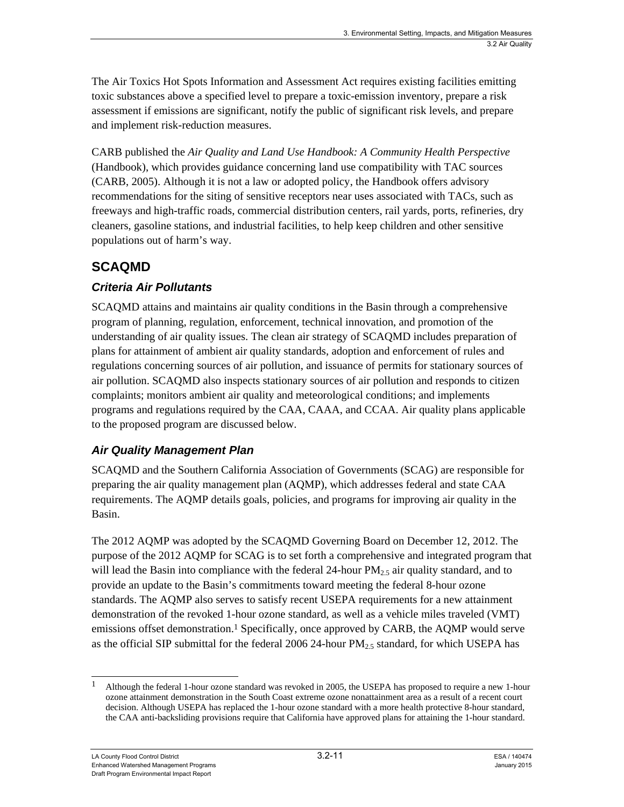The Air Toxics Hot Spots Information and Assessment Act requires existing facilities emitting toxic substances above a specified level to prepare a toxic-emission inventory, prepare a risk assessment if emissions are significant, notify the public of significant risk levels, and prepare and implement risk-reduction measures.

CARB published the *Air Quality and Land Use Handbook: A Community Health Perspective* (Handbook), which provides guidance concerning land use compatibility with TAC sources (CARB, 2005). Although it is not a law or adopted policy, the Handbook offers advisory recommendations for the siting of sensitive receptors near uses associated with TACs, such as freeways and high-traffic roads, commercial distribution centers, rail yards, ports, refineries, dry cleaners, gasoline stations, and industrial facilities, to help keep children and other sensitive populations out of harm's way.

### **SCAQMD**

### *Criteria Air Pollutants*

SCAQMD attains and maintains air quality conditions in the Basin through a comprehensive program of planning, regulation, enforcement, technical innovation, and promotion of the understanding of air quality issues. The clean air strategy of SCAQMD includes preparation of plans for attainment of ambient air quality standards, adoption and enforcement of rules and regulations concerning sources of air pollution, and issuance of permits for stationary sources of air pollution. SCAQMD also inspects stationary sources of air pollution and responds to citizen complaints; monitors ambient air quality and meteorological conditions; and implements programs and regulations required by the CAA, CAAA, and CCAA. Air quality plans applicable to the proposed program are discussed below.

### *Air Quality Management Plan*

SCAQMD and the Southern California Association of Governments (SCAG) are responsible for preparing the air quality management plan (AQMP), which addresses federal and state CAA requirements. The AQMP details goals, policies, and programs for improving air quality in the Basin.

The 2012 AQMP was adopted by the SCAQMD Governing Board on December 12, 2012. The purpose of the 2012 AQMP for SCAG is to set forth a comprehensive and integrated program that will lead the Basin into compliance with the federal 24-hour  $PM_2$ , air quality standard, and to provide an update to the Basin's commitments toward meeting the federal 8-hour ozone standards. The AQMP also serves to satisfy recent USEPA requirements for a new attainment demonstration of the revoked 1-hour ozone standard, as well as a vehicle miles traveled (VMT) emissions offset demonstration.<sup>1</sup> Specifically, once approved by CARB, the AQMP would serve as the official SIP submittal for the federal 2006 24-hour  $PM_{2.5}$  standard, for which USEPA has

l 1 Although the federal 1-hour ozone standard was revoked in 2005, the USEPA has proposed to require a new 1-hour ozone attainment demonstration in the South Coast extreme ozone nonattainment area as a result of a recent court decision. Although USEPA has replaced the 1-hour ozone standard with a more health protective 8-hour standard, the CAA anti-backsliding provisions require that California have approved plans for attaining the 1-hour standard.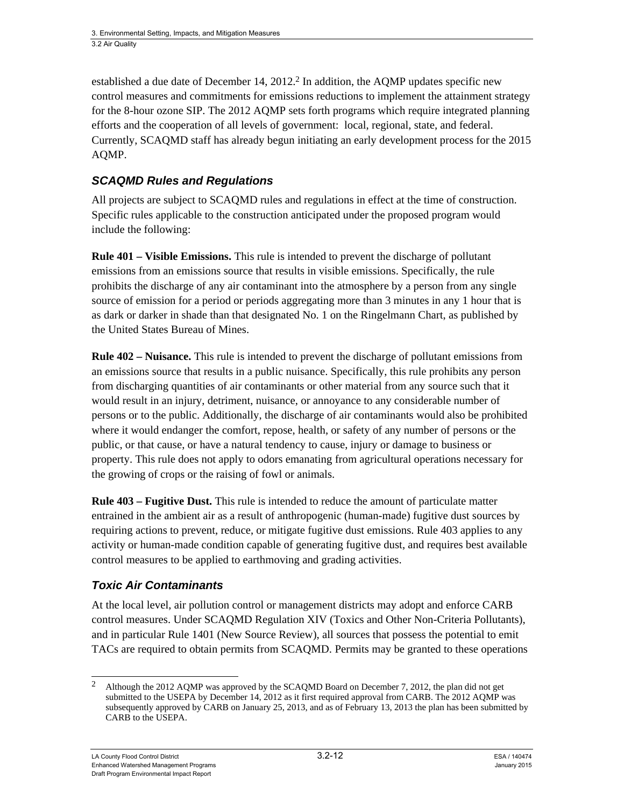established a due date of December 14,  $2012<sup>2</sup>$  In addition, the AOMP updates specific new control measures and commitments for emissions reductions to implement the attainment strategy for the 8-hour ozone SIP. The 2012 AQMP sets forth programs which require integrated planning efforts and the cooperation of all levels of government: local, regional, state, and federal. Currently, SCAQMD staff has already begun initiating an early development process for the 2015 AQMP.

#### *SCAQMD Rules and Regulations*

All projects are subject to SCAQMD rules and regulations in effect at the time of construction. Specific rules applicable to the construction anticipated under the proposed program would include the following:

**Rule 401 – Visible Emissions.** This rule is intended to prevent the discharge of pollutant emissions from an emissions source that results in visible emissions. Specifically, the rule prohibits the discharge of any air contaminant into the atmosphere by a person from any single source of emission for a period or periods aggregating more than 3 minutes in any 1 hour that is as dark or darker in shade than that designated No. 1 on the Ringelmann Chart, as published by the United States Bureau of Mines.

**Rule 402 – Nuisance.** This rule is intended to prevent the discharge of pollutant emissions from an emissions source that results in a public nuisance. Specifically, this rule prohibits any person from discharging quantities of air contaminants or other material from any source such that it would result in an injury, detriment, nuisance, or annoyance to any considerable number of persons or to the public. Additionally, the discharge of air contaminants would also be prohibited where it would endanger the comfort, repose, health, or safety of any number of persons or the public, or that cause, or have a natural tendency to cause, injury or damage to business or property. This rule does not apply to odors emanating from agricultural operations necessary for the growing of crops or the raising of fowl or animals.

**Rule 403 – Fugitive Dust.** This rule is intended to reduce the amount of particulate matter entrained in the ambient air as a result of anthropogenic (human-made) fugitive dust sources by requiring actions to prevent, reduce, or mitigate fugitive dust emissions. Rule 403 applies to any activity or human-made condition capable of generating fugitive dust, and requires best available control measures to be applied to earthmoving and grading activities.

#### *Toxic Air Contaminants*

At the local level, air pollution control or management districts may adopt and enforce CARB control measures. Under SCAQMD Regulation XIV (Toxics and Other Non-Criteria Pollutants), and in particular Rule 1401 (New Source Review), all sources that possess the potential to emit TACs are required to obtain permits from SCAQMD. Permits may be granted to these operations

l 2 Although the 2012 AQMP was approved by the SCAQMD Board on December 7, 2012, the plan did not get submitted to the USEPA by December 14, 2012 as it first required approval from CARB. The 2012 AQMP was subsequently approved by CARB on January 25, 2013, and as of February 13, 2013 the plan has been submitted by CARB to the USEPA.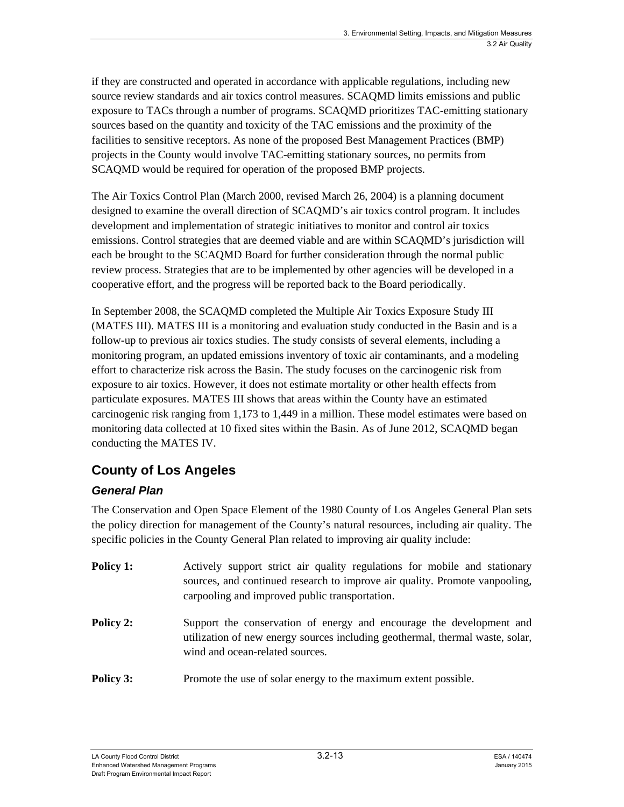if they are constructed and operated in accordance with applicable regulations, including new source review standards and air toxics control measures. SCAQMD limits emissions and public exposure to TACs through a number of programs. SCAQMD prioritizes TAC-emitting stationary sources based on the quantity and toxicity of the TAC emissions and the proximity of the facilities to sensitive receptors. As none of the proposed Best Management Practices (BMP) projects in the County would involve TAC-emitting stationary sources, no permits from SCAQMD would be required for operation of the proposed BMP projects.

The Air Toxics Control Plan (March 2000, revised March 26, 2004) is a planning document designed to examine the overall direction of SCAQMD's air toxics control program. It includes development and implementation of strategic initiatives to monitor and control air toxics emissions. Control strategies that are deemed viable and are within SCAQMD's jurisdiction will each be brought to the SCAQMD Board for further consideration through the normal public review process. Strategies that are to be implemented by other agencies will be developed in a cooperative effort, and the progress will be reported back to the Board periodically.

In September 2008, the SCAQMD completed the Multiple Air Toxics Exposure Study III (MATES III). MATES III is a monitoring and evaluation study conducted in the Basin and is a follow-up to previous air toxics studies. The study consists of several elements, including a monitoring program, an updated emissions inventory of toxic air contaminants, and a modeling effort to characterize risk across the Basin. The study focuses on the carcinogenic risk from exposure to air toxics. However, it does not estimate mortality or other health effects from particulate exposures. MATES III shows that areas within the County have an estimated carcinogenic risk ranging from 1,173 to 1,449 in a million. These model estimates were based on monitoring data collected at 10 fixed sites within the Basin. As of June 2012, SCAQMD began conducting the MATES IV.

## **County of Los Angeles**

### *General Plan*

The Conservation and Open Space Element of the 1980 County of Los Angeles General Plan sets the policy direction for management of the County's natural resources, including air quality. The specific policies in the County General Plan related to improving air quality include:

- **Policy 1:** Actively support strict air quality regulations for mobile and stationary sources, and continued research to improve air quality. Promote vanpooling, carpooling and improved public transportation. **Policy 2:** Support the conservation of energy and encourage the development and utilization of new energy sources including geothermal, thermal waste, solar, wind and ocean-related sources.
- **Policy 3:** Promote the use of solar energy to the maximum extent possible.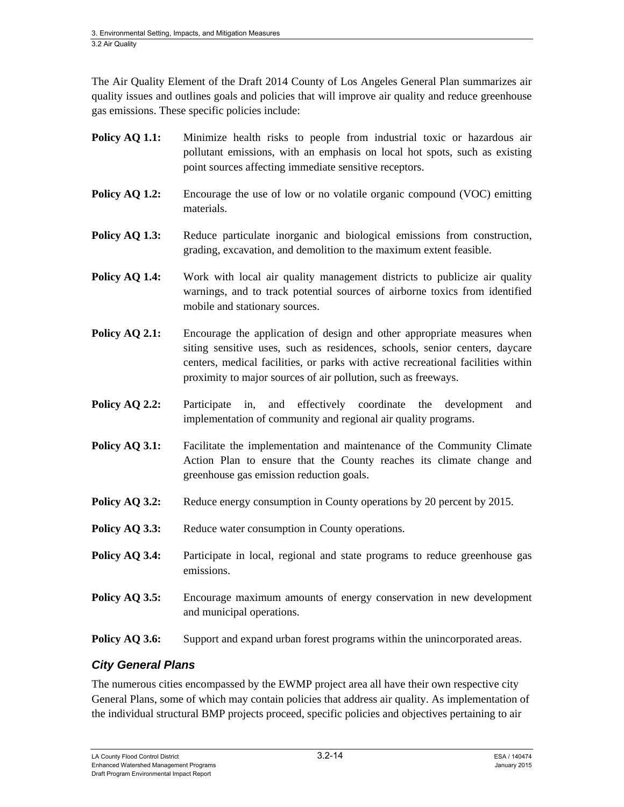The Air Quality Element of the Draft 2014 County of Los Angeles General Plan summarizes air quality issues and outlines goals and policies that will improve air quality and reduce greenhouse gas emissions. These specific policies include:

- Policy AQ 1.1: Minimize health risks to people from industrial toxic or hazardous air pollutant emissions, with an emphasis on local hot spots, such as existing point sources affecting immediate sensitive receptors.
- **Policy AQ 1.2:** Encourage the use of low or no volatile organic compound (VOC) emitting materials.
- **Policy AQ 1.3:** Reduce particulate inorganic and biological emissions from construction, grading, excavation, and demolition to the maximum extent feasible.
- **Policy AQ 1.4:** Work with local air quality management districts to publicize air quality warnings, and to track potential sources of airborne toxics from identified mobile and stationary sources.
- **Policy AQ 2.1:** Encourage the application of design and other appropriate measures when siting sensitive uses, such as residences, schools, senior centers, daycare centers, medical facilities, or parks with active recreational facilities within proximity to major sources of air pollution, such as freeways.
- **Policy AQ 2.2:** Participate in, and effectively coordinate the development and implementation of community and regional air quality programs.
- **Policy AQ 3.1:** Facilitate the implementation and maintenance of the Community Climate Action Plan to ensure that the County reaches its climate change and greenhouse gas emission reduction goals.
- **Policy AQ 3.2:** Reduce energy consumption in County operations by 20 percent by 2015.
- **Policy AQ 3.3:** Reduce water consumption in County operations.
- **Policy AQ 3.4:** Participate in local, regional and state programs to reduce greenhouse gas emissions.
- **Policy AQ 3.5:** Encourage maximum amounts of energy conservation in new development and municipal operations.
- **Policy AQ 3.6:** Support and expand urban forest programs within the unincorporated areas.

#### *City General Plans*

The numerous cities encompassed by the EWMP project area all have their own respective city General Plans, some of which may contain policies that address air quality. As implementation of the individual structural BMP projects proceed, specific policies and objectives pertaining to air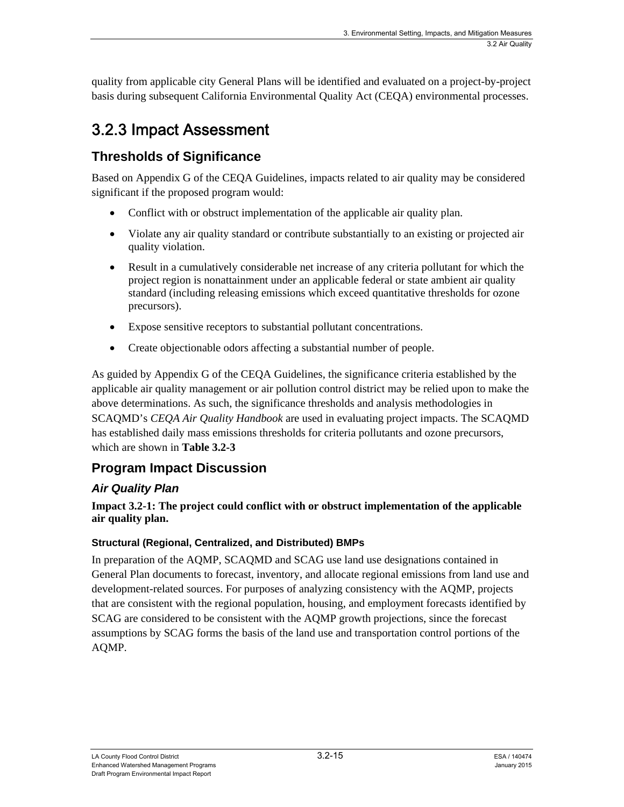quality from applicable city General Plans will be identified and evaluated on a project-by-project basis during subsequent California Environmental Quality Act (CEQA) environmental processes.

# 3.2.3 Impact Assessment

### **Thresholds of Significance**

Based on Appendix G of the CEQA Guidelines, impacts related to air quality may be considered significant if the proposed program would:

- Conflict with or obstruct implementation of the applicable air quality plan.
- Violate any air quality standard or contribute substantially to an existing or projected air quality violation.
- Result in a cumulatively considerable net increase of any criteria pollutant for which the project region is nonattainment under an applicable federal or state ambient air quality standard (including releasing emissions which exceed quantitative thresholds for ozone precursors).
- Expose sensitive receptors to substantial pollutant concentrations.
- Create objectionable odors affecting a substantial number of people.

As guided by Appendix G of the CEQA Guidelines, the significance criteria established by the applicable air quality management or air pollution control district may be relied upon to make the above determinations. As such, the significance thresholds and analysis methodologies in SCAQMD's *CEQA Air Quality Handbook* are used in evaluating project impacts. The SCAQMD has established daily mass emissions thresholds for criteria pollutants and ozone precursors, which are shown in **Table 3.2-3**

### **Program Impact Discussion**

### *Air Quality Plan*

#### **Impact 3.2-1: The project could conflict with or obstruct implementation of the applicable air quality plan.**

#### **Structural (Regional, Centralized, and Distributed) BMPs**

In preparation of the AQMP, SCAQMD and SCAG use land use designations contained in General Plan documents to forecast, inventory, and allocate regional emissions from land use and development-related sources. For purposes of analyzing consistency with the AQMP, projects that are consistent with the regional population, housing, and employment forecasts identified by SCAG are considered to be consistent with the AQMP growth projections, since the forecast assumptions by SCAG forms the basis of the land use and transportation control portions of the AQMP.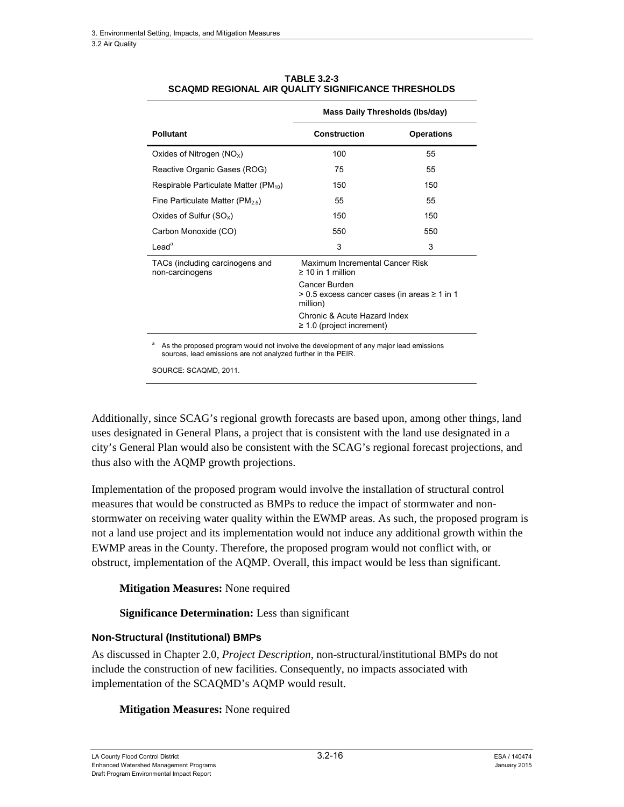3.2 Air Quality

|                                                    | Mass Daily Thresholds (Ibs/day)                                           |                   |  |  |
|----------------------------------------------------|---------------------------------------------------------------------------|-------------------|--|--|
| <b>Pollutant</b>                                   | <b>Construction</b>                                                       | <b>Operations</b> |  |  |
| Oxides of Nitrogen $(NOx)$                         | 100                                                                       | 55                |  |  |
| Reactive Organic Gases (ROG)                       | 75                                                                        | 55                |  |  |
| Respirable Particulate Matter (PM <sub>10</sub> )  | 150                                                                       | 150               |  |  |
| Fine Particulate Matter ( $PM_{2.5}$ )             | 55                                                                        | 55                |  |  |
| Oxides of Sulfur $(SO_x)$                          | 150                                                                       | 150               |  |  |
| Carbon Monoxide (CO)                               | 550                                                                       | 550               |  |  |
| $\text{lead}^a$                                    | 3                                                                         | 3                 |  |  |
| TACs (including carcinogens and<br>non-carcinogens | Maximum Incremental Cancer Risk<br>$\geq 10$ in 1 million                 |                   |  |  |
|                                                    | Cancer Burden<br>> 0.5 excess cancer cases (in areas ≥ 1 in 1<br>million) |                   |  |  |
|                                                    | Chronic & Acute Hazard Index<br>$\geq$ 1.0 (project increment)            |                   |  |  |
|                                                    |                                                                           |                   |  |  |

#### **TABLE 3.2-3 SCAQMD REGIONAL AIR QUALITY SIGNIFICANCE THRESHOLDS**

a As the proposed program would not involve the development of any major lead emissions sources, lead emissions are not analyzed further in the PEIR.

SOURCE: SCAQMD, 2011.

Additionally, since SCAG's regional growth forecasts are based upon, among other things, land uses designated in General Plans, a project that is consistent with the land use designated in a city's General Plan would also be consistent with the SCAG's regional forecast projections, and thus also with the AQMP growth projections.

Implementation of the proposed program would involve the installation of structural control measures that would be constructed as BMPs to reduce the impact of stormwater and nonstormwater on receiving water quality within the EWMP areas. As such, the proposed program is not a land use project and its implementation would not induce any additional growth within the EWMP areas in the County. Therefore, the proposed program would not conflict with, or obstruct, implementation of the AQMP. Overall, this impact would be less than significant.

#### **Mitigation Measures:** None required

**Significance Determination:** Less than significant

#### **Non-Structural (Institutional) BMPs**

As discussed in Chapter 2.0, *Project Description*, non-structural/institutional BMPs do not include the construction of new facilities. Consequently, no impacts associated with implementation of the SCAQMD's AQMP would result.

#### **Mitigation Measures:** None required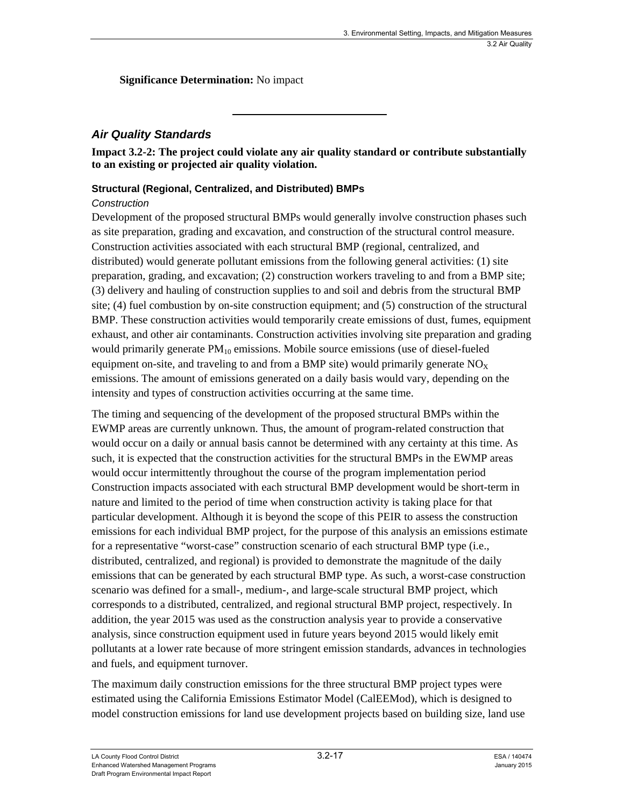**Significance Determination:** No impact

#### *Air Quality Standards*

**Impact 3.2-2: The project could violate any air quality standard or contribute substantially to an existing or projected air quality violation.** 

#### **Structural (Regional, Centralized, and Distributed) BMPs**

#### *Construction*

Development of the proposed structural BMPs would generally involve construction phases such as site preparation, grading and excavation, and construction of the structural control measure. Construction activities associated with each structural BMP (regional, centralized, and distributed) would generate pollutant emissions from the following general activities: (1) site preparation, grading, and excavation; (2) construction workers traveling to and from a BMP site; (3) delivery and hauling of construction supplies to and soil and debris from the structural BMP site; (4) fuel combustion by on-site construction equipment; and (5) construction of the structural BMP. These construction activities would temporarily create emissions of dust, fumes, equipment exhaust, and other air contaminants. Construction activities involving site preparation and grading would primarily generate  $PM_{10}$  emissions. Mobile source emissions (use of diesel-fueled equipment on-site, and traveling to and from a BMP site) would primarily generate  $NO<sub>X</sub>$ emissions. The amount of emissions generated on a daily basis would vary, depending on the intensity and types of construction activities occurring at the same time.

The timing and sequencing of the development of the proposed structural BMPs within the EWMP areas are currently unknown. Thus, the amount of program-related construction that would occur on a daily or annual basis cannot be determined with any certainty at this time. As such, it is expected that the construction activities for the structural BMPs in the EWMP areas would occur intermittently throughout the course of the program implementation period Construction impacts associated with each structural BMP development would be short-term in nature and limited to the period of time when construction activity is taking place for that particular development. Although it is beyond the scope of this PEIR to assess the construction emissions for each individual BMP project, for the purpose of this analysis an emissions estimate for a representative "worst-case" construction scenario of each structural BMP type (i.e., distributed, centralized, and regional) is provided to demonstrate the magnitude of the daily emissions that can be generated by each structural BMP type. As such, a worst-case construction scenario was defined for a small-, medium-, and large-scale structural BMP project, which corresponds to a distributed, centralized, and regional structural BMP project, respectively. In addition, the year 2015 was used as the construction analysis year to provide a conservative analysis, since construction equipment used in future years beyond 2015 would likely emit pollutants at a lower rate because of more stringent emission standards, advances in technologies and fuels, and equipment turnover.

The maximum daily construction emissions for the three structural BMP project types were estimated using the California Emissions Estimator Model (CalEEMod), which is designed to model construction emissions for land use development projects based on building size, land use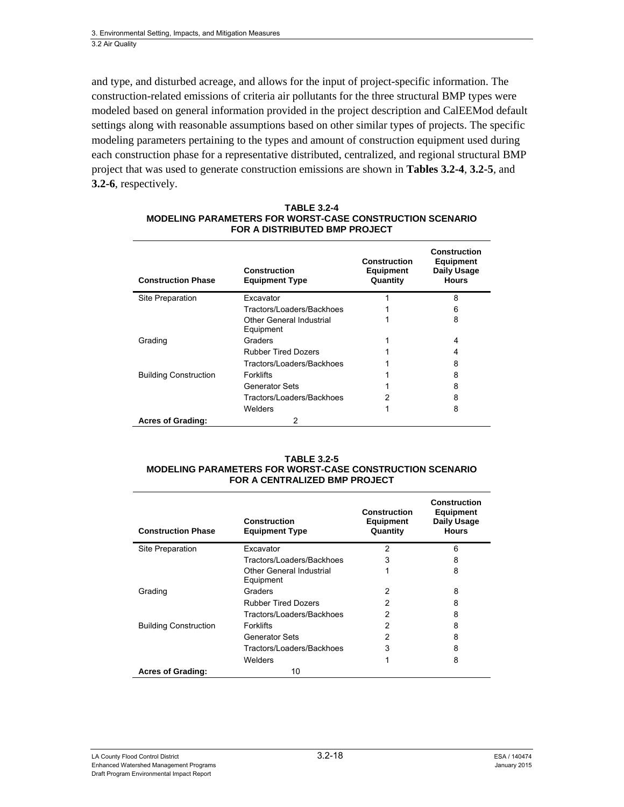and type, and disturbed acreage, and allows for the input of project-specific information. The construction-related emissions of criteria air pollutants for the three structural BMP types were modeled based on general information provided in the project description and CalEEMod default settings along with reasonable assumptions based on other similar types of projects. The specific modeling parameters pertaining to the types and amount of construction equipment used during each construction phase for a representative distributed, centralized, and regional structural BMP project that was used to generate construction emissions are shown in **Tables 3.2-4**, **3.2-5**, and **3.2-6**, respectively.

| <b>Construction Phase</b>    | Construction<br><b>Equipment Type</b> | <b>Construction</b><br><b>Equipment</b><br>Quantity | <b>Construction</b><br><b>Equipment</b><br>Daily Usage<br><b>Hours</b> |
|------------------------------|---------------------------------------|-----------------------------------------------------|------------------------------------------------------------------------|
| Site Preparation             | Excavator                             |                                                     | 8                                                                      |
|                              | Tractors/Loaders/Backhoes             |                                                     | 6                                                                      |
|                              | Other General Industrial<br>Equipment |                                                     | 8                                                                      |
| Grading                      | Graders                               |                                                     | 4                                                                      |
|                              | <b>Rubber Tired Dozers</b>            |                                                     | 4                                                                      |
|                              | Tractors/Loaders/Backhoes             |                                                     | 8                                                                      |
| <b>Building Construction</b> | <b>Forklifts</b>                      |                                                     | 8                                                                      |
|                              | Generator Sets                        |                                                     | 8                                                                      |
|                              | Tractors/Loaders/Backhoes             |                                                     | 8                                                                      |
|                              | Welders                               |                                                     | 8                                                                      |
| <b>Acres of Grading:</b>     | 2                                     |                                                     |                                                                        |

#### **TABLE 3.2-4 MODELING PARAMETERS FOR WORST-CASE CONSTRUCTION SCENARIO FOR A DISTRIBUTED BMP PROJECT**

#### **TABLE 3.2-5 MODELING PARAMETERS FOR WORST-CASE CONSTRUCTION SCENARIO FOR A CENTRALIZED BMP PROJECT**

| <b>Construction Phase</b>    | Construction<br><b>Equipment Type</b> | <b>Construction</b><br><b>Equipment</b><br>Quantity | Construction<br><b>Equipment</b><br>Daily Usage<br><b>Hours</b> |
|------------------------------|---------------------------------------|-----------------------------------------------------|-----------------------------------------------------------------|
| Site Preparation             | Excavator                             | $\overline{2}$                                      | 6                                                               |
|                              | Tractors/Loaders/Backhoes             | 3                                                   | 8                                                               |
|                              | Other General Industrial<br>Equipment |                                                     | 8                                                               |
| Grading                      | Graders                               | 2                                                   | 8                                                               |
|                              | <b>Rubber Tired Dozers</b>            | 2                                                   | 8                                                               |
|                              | Tractors/Loaders/Backhoes             | 2                                                   | 8                                                               |
| <b>Building Construction</b> | <b>Forklifts</b>                      | 2                                                   | 8                                                               |
|                              | <b>Generator Sets</b>                 | 2                                                   | 8                                                               |
|                              | Tractors/Loaders/Backhoes             | 3                                                   | 8                                                               |
|                              | Welders                               |                                                     | 8                                                               |
| <b>Acres of Grading:</b>     | 10                                    |                                                     |                                                                 |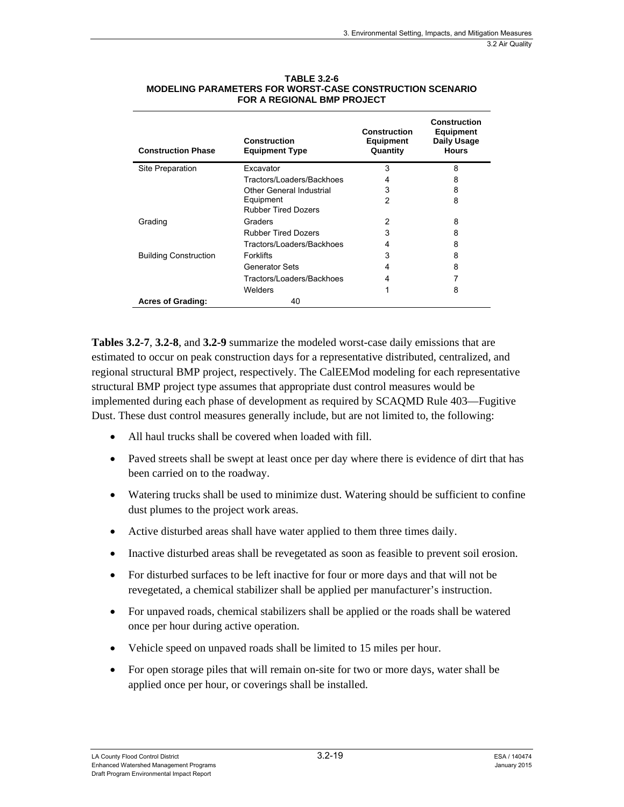| <b>Construction Phase</b>    | <b>Construction</b><br><b>Equipment Type</b> | <b>Construction</b><br><b>Equipment</b><br>Quantity | <b>Construction</b><br><b>Equipment</b><br>Daily Usage<br><b>Hours</b> |
|------------------------------|----------------------------------------------|-----------------------------------------------------|------------------------------------------------------------------------|
| Site Preparation             | Excavator                                    | 3                                                   | 8                                                                      |
|                              | Tractors/Loaders/Backhoes                    | 4                                                   | 8                                                                      |
|                              | Other General Industrial                     | 3                                                   | 8                                                                      |
|                              | Equipment<br><b>Rubber Tired Dozers</b>      | 2                                                   | 8                                                                      |
| Grading                      | Graders                                      | 2                                                   | 8                                                                      |
|                              | <b>Rubber Tired Dozers</b>                   | 3                                                   | 8                                                                      |
|                              | Tractors/Loaders/Backhoes                    | 4                                                   | 8                                                                      |
| <b>Building Construction</b> | <b>Forklifts</b>                             | 3                                                   | 8                                                                      |
|                              | Generator Sets                               | 4                                                   | 8                                                                      |
|                              | Tractors/Loaders/Backhoes                    | 4                                                   |                                                                        |
|                              | Welders                                      | 1                                                   | 8                                                                      |
| <b>Acres of Grading:</b>     | 40                                           |                                                     |                                                                        |

#### **TABLE 3.2-6 MODELING PARAMETERS FOR WORST-CASE CONSTRUCTION SCENARIO FOR A REGIONAL BMP PROJECT**

**Tables 3.2-7**, **3.2-8**, and **3.2-9** summarize the modeled worst-case daily emissions that are estimated to occur on peak construction days for a representative distributed, centralized, and regional structural BMP project, respectively. The CalEEMod modeling for each representative structural BMP project type assumes that appropriate dust control measures would be implemented during each phase of development as required by SCAQMD Rule 403—Fugitive Dust. These dust control measures generally include, but are not limited to, the following:

- All haul trucks shall be covered when loaded with fill.
- Paved streets shall be swept at least once per day where there is evidence of dirt that has been carried on to the roadway.
- Watering trucks shall be used to minimize dust. Watering should be sufficient to confine dust plumes to the project work areas.
- Active disturbed areas shall have water applied to them three times daily.
- Inactive disturbed areas shall be revegetated as soon as feasible to prevent soil erosion.
- For disturbed surfaces to be left inactive for four or more days and that will not be revegetated, a chemical stabilizer shall be applied per manufacturer's instruction.
- For unpaved roads, chemical stabilizers shall be applied or the roads shall be watered once per hour during active operation.
- Vehicle speed on unpaved roads shall be limited to 15 miles per hour.
- For open storage piles that will remain on-site for two or more days, water shall be applied once per hour, or coverings shall be installed.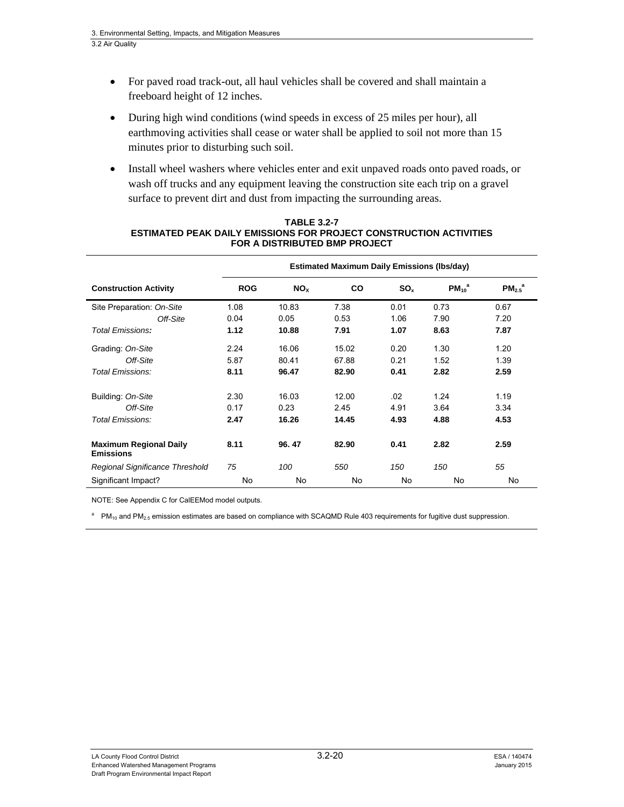- For paved road track-out, all haul vehicles shall be covered and shall maintain a freeboard height of 12 inches.
- During high wind conditions (wind speeds in excess of 25 miles per hour), all earthmoving activities shall cease or water shall be applied to soil not more than 15 minutes prior to disturbing such soil.
- Install wheel washers where vehicles enter and exit unpaved roads onto paved roads, or wash off trucks and any equipment leaving the construction site each trip on a gravel surface to prevent dirt and dust from impacting the surrounding areas.

|                                                   | <b>Estimated Maximum Daily Emissions (Ibs/day)</b> |                 |       |                 |             |                         |
|---------------------------------------------------|----------------------------------------------------|-----------------|-------|-----------------|-------------|-------------------------|
| <b>Construction Activity</b>                      | <b>ROG</b>                                         | NO <sub>x</sub> | CO    | SO <sub>x</sub> | $PM_{10}^a$ | $PM_{2.5}$ <sup>a</sup> |
| Site Preparation: On-Site                         | 1.08                                               | 10.83           | 7.38  | 0.01            | 0.73        | 0.67                    |
| Off-Site                                          | 0.04                                               | 0.05            | 0.53  | 1.06            | 7.90        | 7.20                    |
| <b>Total Emissions:</b>                           | 1.12                                               | 10.88           | 7.91  | 1.07            | 8.63        | 7.87                    |
| Grading: On-Site                                  | 2.24                                               | 16.06           | 15.02 | 0.20            | 1.30        | 1.20                    |
| Off-Site                                          | 5.87                                               | 80.41           | 67.88 | 0.21            | 1.52        | 1.39                    |
| Total Emissions:                                  | 8.11                                               | 96.47           | 82.90 | 0.41            | 2.82        | 2.59                    |
| Building: On-Site                                 | 2.30                                               | 16.03           | 12.00 | .02             | 1.24        | 1.19                    |
| Off-Site                                          | 0.17                                               | 0.23            | 2.45  | 4.91            | 3.64        | 3.34                    |
| Total Emissions:                                  | 2.47                                               | 16.26           | 14.45 | 4.93            | 4.88        | 4.53                    |
| <b>Maximum Regional Daily</b><br><b>Emissions</b> | 8.11                                               | 96.47           | 82.90 | 0.41            | 2.82        | 2.59                    |
| Regional Significance Threshold                   | 75                                                 | 100             | 550   | 150             | 150         | 55                      |
| Significant Impact?                               | No                                                 | No.             | No    | <b>No</b>       | No          | No                      |

#### **TABLE 3.2-7 ESTIMATED PEAK DAILY EMISSIONS FOR PROJECT CONSTRUCTION ACTIVITIES FOR A DISTRIBUTED BMP PROJECT**

NOTE: See Appendix C for CalEEMod model outputs.

<sup>a</sup> PM<sub>10</sub> and PM<sub>2.5</sub> emission estimates are based on compliance with SCAQMD Rule 403 requirements for fugitive dust suppression.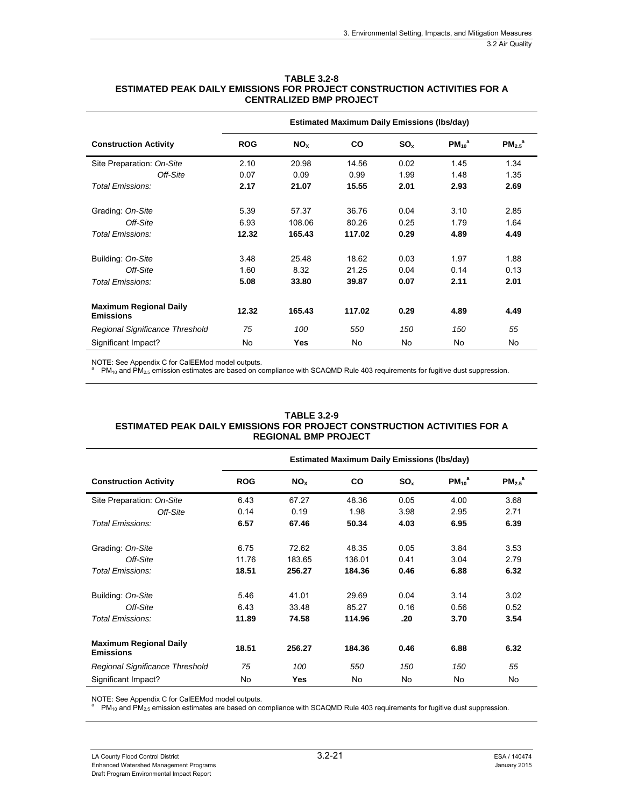|                                                   | <b>Estimated Maximum Daily Emissions (Ibs/day)</b> |                 |        |                 |             |                         |  |
|---------------------------------------------------|----------------------------------------------------|-----------------|--------|-----------------|-------------|-------------------------|--|
| <b>Construction Activity</b>                      | <b>ROG</b>                                         | NO <sub>x</sub> | CO     | SO <sub>x</sub> | $PM_{10}^a$ | $PM_{2.5}$ <sup>a</sup> |  |
| Site Preparation: On-Site                         | 2.10                                               | 20.98           | 14.56  | 0.02            | 1.45        | 1.34                    |  |
| Off-Site                                          | 0.07                                               | 0.09            | 0.99   | 1.99            | 1.48        | 1.35                    |  |
| Total Emissions:                                  | 2.17                                               | 21.07           | 15.55  | 2.01            | 2.93        | 2.69                    |  |
| Grading: On-Site                                  | 5.39                                               | 57.37           | 36.76  | 0.04            | 3.10        | 2.85                    |  |
| Off-Site                                          | 6.93                                               | 108.06          | 80.26  | 0.25            | 1.79        | 1.64                    |  |
| Total Emissions:                                  | 12.32                                              | 165.43          | 117.02 | 0.29            | 4.89        | 4.49                    |  |
| Building: On-Site                                 | 3.48                                               | 25.48           | 18.62  | 0.03            | 1.97        | 1.88                    |  |
| Off-Site                                          | 1.60                                               | 8.32            | 21.25  | 0.04            | 0.14        | 0.13                    |  |
| Total Emissions:                                  | 5.08                                               | 33.80           | 39.87  | 0.07            | 2.11        | 2.01                    |  |
| <b>Maximum Regional Daily</b><br><b>Emissions</b> | 12.32                                              | 165.43          | 117.02 | 0.29            | 4.89        | 4.49                    |  |
| Regional Significance Threshold                   | 75                                                 | 100             | 550    | 150             | 150         | 55                      |  |
| Significant Impact?                               | No                                                 | Yes             | No     | No              | No          | No                      |  |

**TABLE 3.2-8 ESTIMATED PEAK DAILY EMISSIONS FOR PROJECT CONSTRUCTION ACTIVITIES FOR A CENTRALIZED BMP PROJECT** 

NOTE: See Appendix C for CalEEMod model outputs.<br><sup>a</sup> PM<sub>10</sub> and PM<sub>2.5</sub> emission estimates are based on compliance with SCAQMD Rule 403 requirements for fugitive dust suppression.

|                                                   | <b>Estimated Maximum Daily Emissions (Ibs/day)</b> |                 |           |                 |                        |                         |
|---------------------------------------------------|----------------------------------------------------|-----------------|-----------|-----------------|------------------------|-------------------------|
| <b>Construction Activity</b>                      | <b>ROG</b>                                         | NO <sub>x</sub> | <b>CO</b> | SO <sub>x</sub> | $PM_{10}$ <sup>a</sup> | $PM_{2.5}$ <sup>a</sup> |
| Site Preparation: On-Site                         | 6.43                                               | 67.27           | 48.36     | 0.05            | 4.00                   | 3.68                    |
| Off-Site                                          | 0.14                                               | 0.19            | 1.98      | 3.98            | 2.95                   | 2.71                    |
| Total Emissions:                                  | 6.57                                               | 67.46           | 50.34     | 4.03            | 6.95                   | 6.39                    |
| Grading: On-Site                                  | 6.75                                               | 72.62           | 48.35     | 0.05            | 3.84                   | 3.53                    |
| Off-Site                                          | 11.76                                              | 183.65          | 136.01    | 0.41            | 3.04                   | 2.79                    |
| Total Emissions:                                  | 18.51                                              | 256.27          | 184.36    | 0.46            | 6.88                   | 6.32                    |
| Building: On-Site                                 | 5.46                                               | 41.01           | 29.69     | 0.04            | 3.14                   | 3.02                    |
| Off-Site                                          | 6.43                                               | 33.48           | 85.27     | 0.16            | 0.56                   | 0.52                    |
| Total Emissions:                                  | 11.89                                              | 74.58           | 114.96    | .20             | 3.70                   | 3.54                    |
| <b>Maximum Regional Daily</b><br><b>Emissions</b> | 18.51                                              | 256.27          | 184.36    | 0.46            | 6.88                   | 6.32                    |
| Regional Significance Threshold                   | 75                                                 | 100             | 550       | 150             | 150                    | 55                      |
| Significant Impact?                               | No                                                 | <b>Yes</b>      | No        | No              | No.                    | No                      |

#### **TABLE 3.2-9 ESTIMATED PEAK DAILY EMISSIONS FOR PROJECT CONSTRUCTION ACTIVITIES FOR A REGIONAL BMP PROJECT**

NOTE: See Appendix C for CalEEMod model outputs.<br>a. RM and RM amission setimates are based an as

 $PM_{10}$  and PM<sub>2.5</sub> emission estimates are based on compliance with SCAQMD Rule 403 requirements for fugitive dust suppression.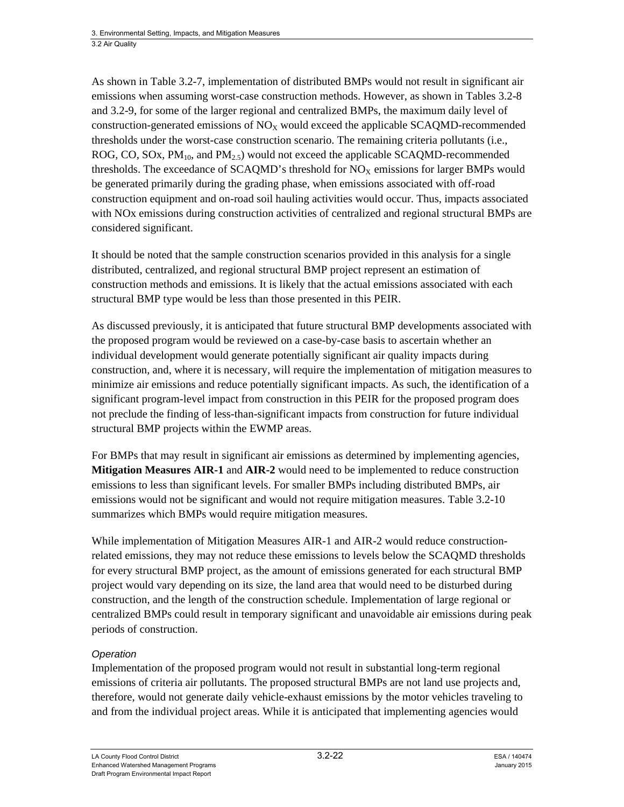As shown in Table 3.2-7, implementation of distributed BMPs would not result in significant air emissions when assuming worst-case construction methods. However, as shown in Tables 3.2-8 and 3.2-9, for some of the larger regional and centralized BMPs, the maximum daily level of construction-generated emissions of  $NO<sub>x</sub>$  would exceed the applicable SCAQMD-recommended thresholds under the worst-case construction scenario. The remaining criteria pollutants (i.e., ROG, CO, SOx,  $PM_{10}$ , and  $PM_{2.5}$ ) would not exceed the applicable SCAQMD-recommended thresholds. The exceedance of SCAOMD's threshold for  $NO<sub>x</sub>$  emissions for larger BMPs would be generated primarily during the grading phase, when emissions associated with off-road construction equipment and on-road soil hauling activities would occur. Thus, impacts associated with NOx emissions during construction activities of centralized and regional structural BMPs are considered significant.

It should be noted that the sample construction scenarios provided in this analysis for a single distributed, centralized, and regional structural BMP project represent an estimation of construction methods and emissions. It is likely that the actual emissions associated with each structural BMP type would be less than those presented in this PEIR.

As discussed previously, it is anticipated that future structural BMP developments associated with the proposed program would be reviewed on a case-by-case basis to ascertain whether an individual development would generate potentially significant air quality impacts during construction, and, where it is necessary, will require the implementation of mitigation measures to minimize air emissions and reduce potentially significant impacts. As such, the identification of a significant program-level impact from construction in this PEIR for the proposed program does not preclude the finding of less-than-significant impacts from construction for future individual structural BMP projects within the EWMP areas.

For BMPs that may result in significant air emissions as determined by implementing agencies, **Mitigation Measures AIR-1** and **AIR-2** would need to be implemented to reduce construction emissions to less than significant levels. For smaller BMPs including distributed BMPs, air emissions would not be significant and would not require mitigation measures. Table 3.2-10 summarizes which BMPs would require mitigation measures.

While implementation of Mitigation Measures AIR-1 and AIR-2 would reduce constructionrelated emissions, they may not reduce these emissions to levels below the SCAQMD thresholds for every structural BMP project, as the amount of emissions generated for each structural BMP project would vary depending on its size, the land area that would need to be disturbed during construction, and the length of the construction schedule. Implementation of large regional or centralized BMPs could result in temporary significant and unavoidable air emissions during peak periods of construction.

#### *Operation*

Implementation of the proposed program would not result in substantial long-term regional emissions of criteria air pollutants. The proposed structural BMPs are not land use projects and, therefore, would not generate daily vehicle-exhaust emissions by the motor vehicles traveling to and from the individual project areas. While it is anticipated that implementing agencies would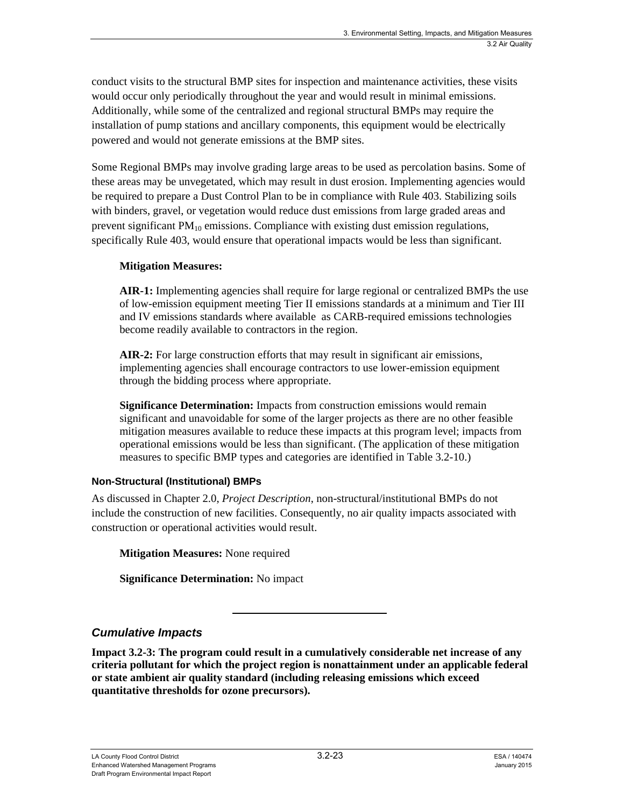conduct visits to the structural BMP sites for inspection and maintenance activities, these visits would occur only periodically throughout the year and would result in minimal emissions. Additionally, while some of the centralized and regional structural BMPs may require the installation of pump stations and ancillary components, this equipment would be electrically powered and would not generate emissions at the BMP sites.

Some Regional BMPs may involve grading large areas to be used as percolation basins. Some of these areas may be unvegetated, which may result in dust erosion. Implementing agencies would be required to prepare a Dust Control Plan to be in compliance with Rule 403. Stabilizing soils with binders, gravel, or vegetation would reduce dust emissions from large graded areas and prevent significant  $PM_{10}$  emissions. Compliance with existing dust emission regulations, specifically Rule 403, would ensure that operational impacts would be less than significant.

#### **Mitigation Measures:**

**AIR-1:** Implementing agencies shall require for large regional or centralized BMPs the use of low-emission equipment meeting Tier II emissions standards at a minimum and Tier III and IV emissions standards where available as CARB-required emissions technologies become readily available to contractors in the region.

**AIR-2:** For large construction efforts that may result in significant air emissions, implementing agencies shall encourage contractors to use lower-emission equipment through the bidding process where appropriate.

**Significance Determination:** Impacts from construction emissions would remain significant and unavoidable for some of the larger projects as there are no other feasible mitigation measures available to reduce these impacts at this program level; impacts from operational emissions would be less than significant. (The application of these mitigation measures to specific BMP types and categories are identified in Table 3.2-10.)

#### **Non-Structural (Institutional) BMPs**

As discussed in Chapter 2.0, *Project Description*, non-structural/institutional BMPs do not include the construction of new facilities. Consequently, no air quality impacts associated with construction or operational activities would result.

**Mitigation Measures:** None required

**Significance Determination:** No impact

#### *Cumulative Impacts*

**Impact 3.2-3: The program could result in a cumulatively considerable net increase of any criteria pollutant for which the project region is nonattainment under an applicable federal or state ambient air quality standard (including releasing emissions which exceed quantitative thresholds for ozone precursors).**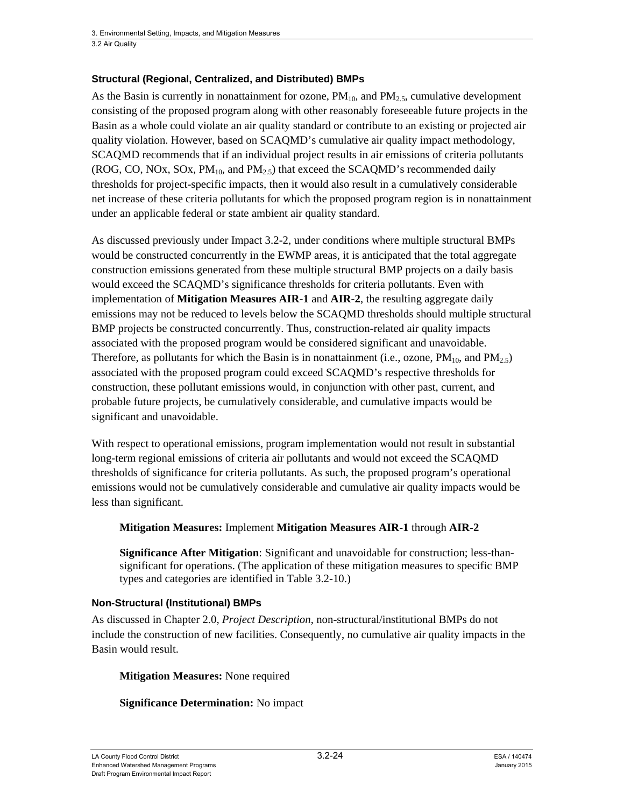#### **Structural (Regional, Centralized, and Distributed) BMPs**

As the Basin is currently in nonattainment for ozone,  $PM_{10}$ , and  $PM_{2.5}$ , cumulative development consisting of the proposed program along with other reasonably foreseeable future projects in the Basin as a whole could violate an air quality standard or contribute to an existing or projected air quality violation. However, based on SCAQMD's cumulative air quality impact methodology, SCAQMD recommends that if an individual project results in air emissions of criteria pollutants (ROG, CO, NOx, SOx,  $PM_{10}$ , and  $PM_{2.5}$ ) that exceed the SCAQMD's recommended daily thresholds for project-specific impacts, then it would also result in a cumulatively considerable net increase of these criteria pollutants for which the proposed program region is in nonattainment under an applicable federal or state ambient air quality standard.

As discussed previously under Impact 3.2-2, under conditions where multiple structural BMPs would be constructed concurrently in the EWMP areas, it is anticipated that the total aggregate construction emissions generated from these multiple structural BMP projects on a daily basis would exceed the SCAQMD's significance thresholds for criteria pollutants. Even with implementation of **Mitigation Measures AIR-1** and **AIR-2**, the resulting aggregate daily emissions may not be reduced to levels below the SCAQMD thresholds should multiple structural BMP projects be constructed concurrently. Thus, construction-related air quality impacts associated with the proposed program would be considered significant and unavoidable. Therefore, as pollutants for which the Basin is in nonattainment (i.e., ozone,  $PM_{10}$ , and  $PM_{2.5}$ ) associated with the proposed program could exceed SCAQMD's respective thresholds for construction, these pollutant emissions would, in conjunction with other past, current, and probable future projects, be cumulatively considerable, and cumulative impacts would be significant and unavoidable.

With respect to operational emissions, program implementation would not result in substantial long-term regional emissions of criteria air pollutants and would not exceed the SCAQMD thresholds of significance for criteria pollutants. As such, the proposed program's operational emissions would not be cumulatively considerable and cumulative air quality impacts would be less than significant.

#### **Mitigation Measures:** Implement **Mitigation Measures AIR-1** through **AIR-2**

**Significance After Mitigation**: Significant and unavoidable for construction; less-thansignificant for operations. (The application of these mitigation measures to specific BMP types and categories are identified in Table 3.2-10.)

#### **Non-Structural (Institutional) BMPs**

As discussed in Chapter 2.0, *Project Description*, non-structural/institutional BMPs do not include the construction of new facilities. Consequently, no cumulative air quality impacts in the Basin would result.

#### **Mitigation Measures:** None required

#### **Significance Determination:** No impact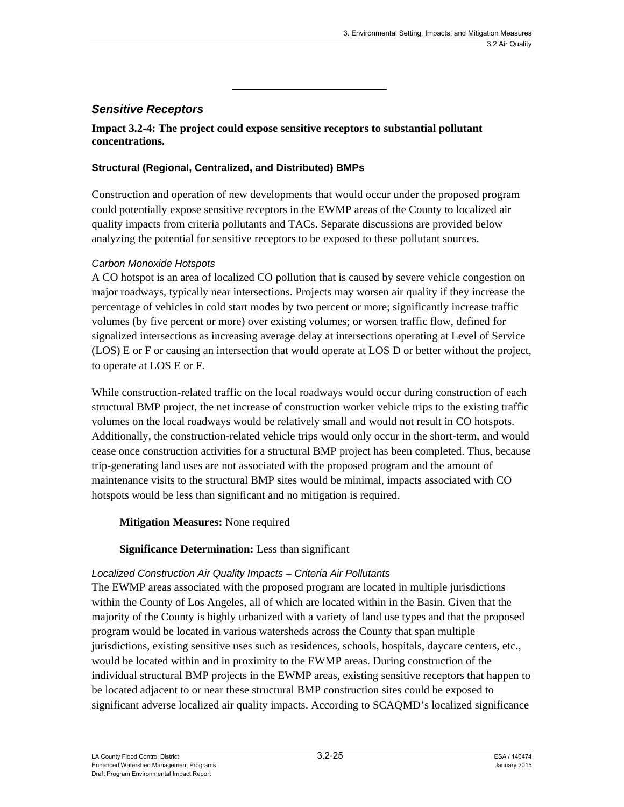#### *Sensitive Receptors*

**Impact 3.2-4: The project could expose sensitive receptors to substantial pollutant concentrations.** 

#### **Structural (Regional, Centralized, and Distributed) BMPs**

Construction and operation of new developments that would occur under the proposed program could potentially expose sensitive receptors in the EWMP areas of the County to localized air quality impacts from criteria pollutants and TACs. Separate discussions are provided below analyzing the potential for sensitive receptors to be exposed to these pollutant sources.

#### *Carbon Monoxide Hotspots*

A CO hotspot is an area of localized CO pollution that is caused by severe vehicle congestion on major roadways, typically near intersections. Projects may worsen air quality if they increase the percentage of vehicles in cold start modes by two percent or more; significantly increase traffic volumes (by five percent or more) over existing volumes; or worsen traffic flow, defined for signalized intersections as increasing average delay at intersections operating at Level of Service (LOS) E or F or causing an intersection that would operate at LOS D or better without the project, to operate at LOS E or F.

While construction-related traffic on the local roadways would occur during construction of each structural BMP project, the net increase of construction worker vehicle trips to the existing traffic volumes on the local roadways would be relatively small and would not result in CO hotspots. Additionally, the construction-related vehicle trips would only occur in the short-term, and would cease once construction activities for a structural BMP project has been completed. Thus, because trip-generating land uses are not associated with the proposed program and the amount of maintenance visits to the structural BMP sites would be minimal, impacts associated with CO hotspots would be less than significant and no mitigation is required.

#### **Mitigation Measures:** None required

#### **Significance Determination:** Less than significant

#### *Localized Construction Air Quality Impacts – Criteria Air Pollutants*

The EWMP areas associated with the proposed program are located in multiple jurisdictions within the County of Los Angeles, all of which are located within in the Basin. Given that the majority of the County is highly urbanized with a variety of land use types and that the proposed program would be located in various watersheds across the County that span multiple jurisdictions, existing sensitive uses such as residences, schools, hospitals, daycare centers, etc., would be located within and in proximity to the EWMP areas. During construction of the individual structural BMP projects in the EWMP areas, existing sensitive receptors that happen to be located adjacent to or near these structural BMP construction sites could be exposed to significant adverse localized air quality impacts. According to SCAQMD's localized significance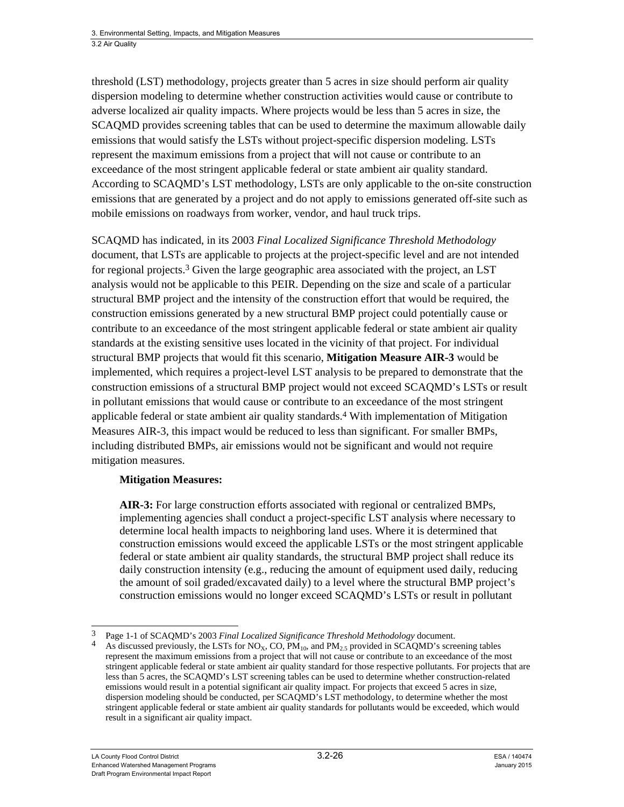threshold (LST) methodology, projects greater than 5 acres in size should perform air quality dispersion modeling to determine whether construction activities would cause or contribute to adverse localized air quality impacts. Where projects would be less than 5 acres in size, the SCAQMD provides screening tables that can be used to determine the maximum allowable daily emissions that would satisfy the LSTs without project-specific dispersion modeling. LSTs represent the maximum emissions from a project that will not cause or contribute to an exceedance of the most stringent applicable federal or state ambient air quality standard. According to SCAQMD's LST methodology, LSTs are only applicable to the on-site construction emissions that are generated by a project and do not apply to emissions generated off-site such as mobile emissions on roadways from worker, vendor, and haul truck trips.

SCAQMD has indicated, in its 2003 *Final Localized Significance Threshold Methodology* document, that LSTs are applicable to projects at the project-specific level and are not intended for regional projects.<sup>3</sup> Given the large geographic area associated with the project, an LST analysis would not be applicable to this PEIR. Depending on the size and scale of a particular structural BMP project and the intensity of the construction effort that would be required, the construction emissions generated by a new structural BMP project could potentially cause or contribute to an exceedance of the most stringent applicable federal or state ambient air quality standards at the existing sensitive uses located in the vicinity of that project. For individual structural BMP projects that would fit this scenario, **Mitigation Measure AIR-3** would be implemented, which requires a project-level LST analysis to be prepared to demonstrate that the construction emissions of a structural BMP project would not exceed SCAQMD's LSTs or result in pollutant emissions that would cause or contribute to an exceedance of the most stringent applicable federal or state ambient air quality standards.4 With implementation of Mitigation Measures AIR-3, this impact would be reduced to less than significant. For smaller BMPs, including distributed BMPs, air emissions would not be significant and would not require mitigation measures.

#### **Mitigation Measures:**

**AIR-3:** For large construction efforts associated with regional or centralized BMPs, implementing agencies shall conduct a project-specific LST analysis where necessary to determine local health impacts to neighboring land uses. Where it is determined that construction emissions would exceed the applicable LSTs or the most stringent applicable federal or state ambient air quality standards, the structural BMP project shall reduce its daily construction intensity (e.g., reducing the amount of equipment used daily, reducing the amount of soil graded/excavated daily) to a level where the structural BMP project's construction emissions would no longer exceed SCAQMD's LSTs or result in pollutant

 $\overline{\phantom{a}}$ 3 Page 1-1 of SCAQMD's 2003 *Final Localized Significance Threshold Methodology* document.

As discussed previously, the LSTs for  $NO<sub>X</sub>$ , CO,  $PM<sub>10</sub>$ , and  $PM<sub>2.5</sub>$  provided in SCAQMD's screening tables represent the maximum emissions from a project that will not cause or contribute to an exceedance of the most stringent applicable federal or state ambient air quality standard for those respective pollutants. For projects that are less than 5 acres, the SCAQMD's LST screening tables can be used to determine whether construction-related emissions would result in a potential significant air quality impact. For projects that exceed 5 acres in size, dispersion modeling should be conducted, per SCAQMD's LST methodology, to determine whether the most stringent applicable federal or state ambient air quality standards for pollutants would be exceeded, which would result in a significant air quality impact.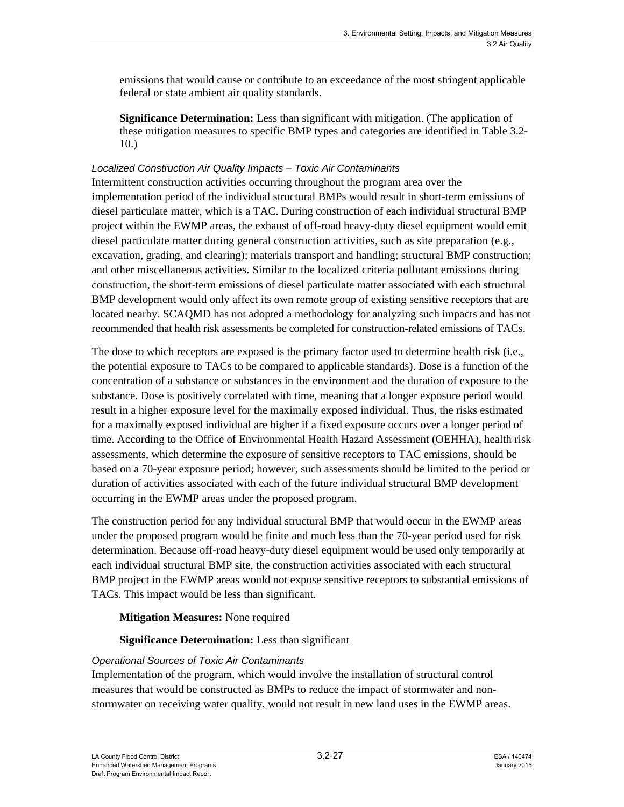emissions that would cause or contribute to an exceedance of the most stringent applicable federal or state ambient air quality standards.

**Significance Determination:** Less than significant with mitigation. (The application of these mitigation measures to specific BMP types and categories are identified in Table 3.2- 10.)

#### *Localized Construction Air Quality Impacts – Toxic Air Contaminants*

Intermittent construction activities occurring throughout the program area over the implementation period of the individual structural BMPs would result in short-term emissions of diesel particulate matter, which is a TAC. During construction of each individual structural BMP project within the EWMP areas, the exhaust of off-road heavy-duty diesel equipment would emit diesel particulate matter during general construction activities, such as site preparation (e.g., excavation, grading, and clearing); materials transport and handling; structural BMP construction; and other miscellaneous activities. Similar to the localized criteria pollutant emissions during construction, the short-term emissions of diesel particulate matter associated with each structural BMP development would only affect its own remote group of existing sensitive receptors that are located nearby. SCAQMD has not adopted a methodology for analyzing such impacts and has not recommended that health risk assessments be completed for construction-related emissions of TACs.

The dose to which receptors are exposed is the primary factor used to determine health risk (i.e., the potential exposure to TACs to be compared to applicable standards). Dose is a function of the concentration of a substance or substances in the environment and the duration of exposure to the substance. Dose is positively correlated with time, meaning that a longer exposure period would result in a higher exposure level for the maximally exposed individual. Thus, the risks estimated for a maximally exposed individual are higher if a fixed exposure occurs over a longer period of time. According to the Office of Environmental Health Hazard Assessment (OEHHA), health risk assessments, which determine the exposure of sensitive receptors to TAC emissions, should be based on a 70-year exposure period; however, such assessments should be limited to the period or duration of activities associated with each of the future individual structural BMP development occurring in the EWMP areas under the proposed program.

The construction period for any individual structural BMP that would occur in the EWMP areas under the proposed program would be finite and much less than the 70-year period used for risk determination. Because off-road heavy-duty diesel equipment would be used only temporarily at each individual structural BMP site, the construction activities associated with each structural BMP project in the EWMP areas would not expose sensitive receptors to substantial emissions of TACs. This impact would be less than significant.

#### **Mitigation Measures:** None required

#### **Significance Determination:** Less than significant

#### *Operational Sources of Toxic Air Contaminants*

Implementation of the program, which would involve the installation of structural control measures that would be constructed as BMPs to reduce the impact of stormwater and nonstormwater on receiving water quality, would not result in new land uses in the EWMP areas.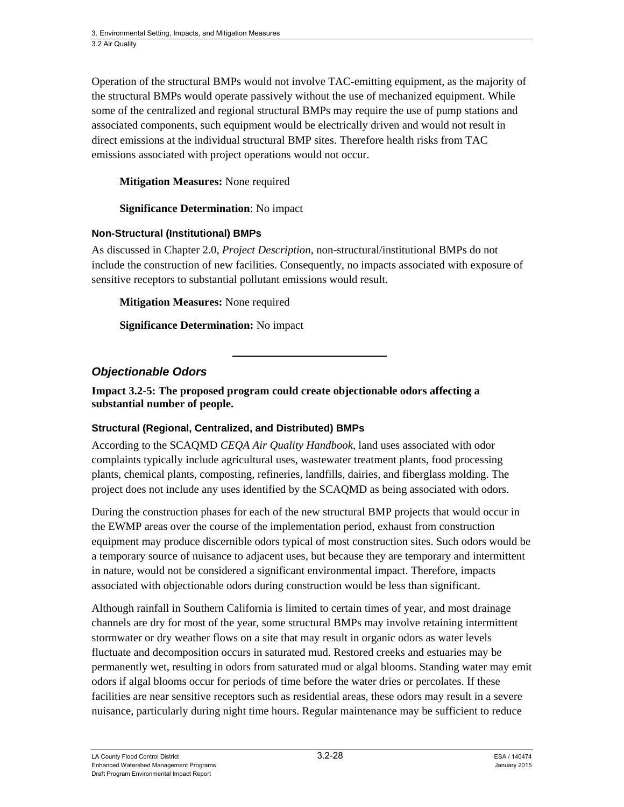Operation of the structural BMPs would not involve TAC-emitting equipment, as the majority of the structural BMPs would operate passively without the use of mechanized equipment. While some of the centralized and regional structural BMPs may require the use of pump stations and associated components, such equipment would be electrically driven and would not result in direct emissions at the individual structural BMP sites. Therefore health risks from TAC emissions associated with project operations would not occur.

#### **Mitigation Measures:** None required

#### **Significance Determination**: No impact

#### **Non-Structural (Institutional) BMPs**

As discussed in Chapter 2.0, *Project Description*, non-structural/institutional BMPs do not include the construction of new facilities. Consequently, no impacts associated with exposure of sensitive receptors to substantial pollutant emissions would result.

**Mitigation Measures:** None required

**Significance Determination:** No impact

#### *Objectionable Odors*

**Impact 3.2-5: The proposed program could create objectionable odors affecting a substantial number of people.** 

#### **Structural (Regional, Centralized, and Distributed) BMPs**

According to the SCAQMD *CEQA Air Quality Handbook*, land uses associated with odor complaints typically include agricultural uses, wastewater treatment plants, food processing plants, chemical plants, composting, refineries, landfills, dairies, and fiberglass molding. The project does not include any uses identified by the SCAQMD as being associated with odors.

During the construction phases for each of the new structural BMP projects that would occur in the EWMP areas over the course of the implementation period, exhaust from construction equipment may produce discernible odors typical of most construction sites. Such odors would be a temporary source of nuisance to adjacent uses, but because they are temporary and intermittent in nature, would not be considered a significant environmental impact. Therefore, impacts associated with objectionable odors during construction would be less than significant.

Although rainfall in Southern California is limited to certain times of year, and most drainage channels are dry for most of the year, some structural BMPs may involve retaining intermittent stormwater or dry weather flows on a site that may result in organic odors as water levels fluctuate and decomposition occurs in saturated mud. Restored creeks and estuaries may be permanently wet, resulting in odors from saturated mud or algal blooms. Standing water may emit odors if algal blooms occur for periods of time before the water dries or percolates. If these facilities are near sensitive receptors such as residential areas, these odors may result in a severe nuisance, particularly during night time hours. Regular maintenance may be sufficient to reduce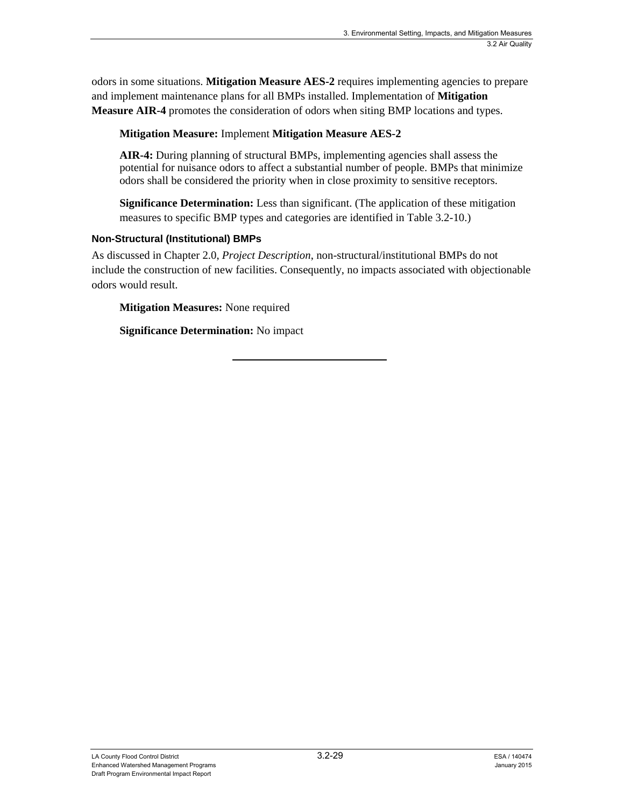odors in some situations. **Mitigation Measure AES-2** requires implementing agencies to prepare and implement maintenance plans for all BMPs installed. Implementation of **Mitigation Measure AIR-4** promotes the consideration of odors when siting BMP locations and types.

#### **Mitigation Measure:** Implement **Mitigation Measure AES-2**

**AIR-4:** During planning of structural BMPs, implementing agencies shall assess the potential for nuisance odors to affect a substantial number of people. BMPs that minimize odors shall be considered the priority when in close proximity to sensitive receptors.

**Significance Determination:** Less than significant. (The application of these mitigation measures to specific BMP types and categories are identified in Table 3.2-10.)

#### **Non-Structural (Institutional) BMPs**

As discussed in Chapter 2.0, *Project Description*, non-structural/institutional BMPs do not include the construction of new facilities. Consequently, no impacts associated with objectionable odors would result.

**Mitigation Measures:** None required

**Significance Determination:** No impact